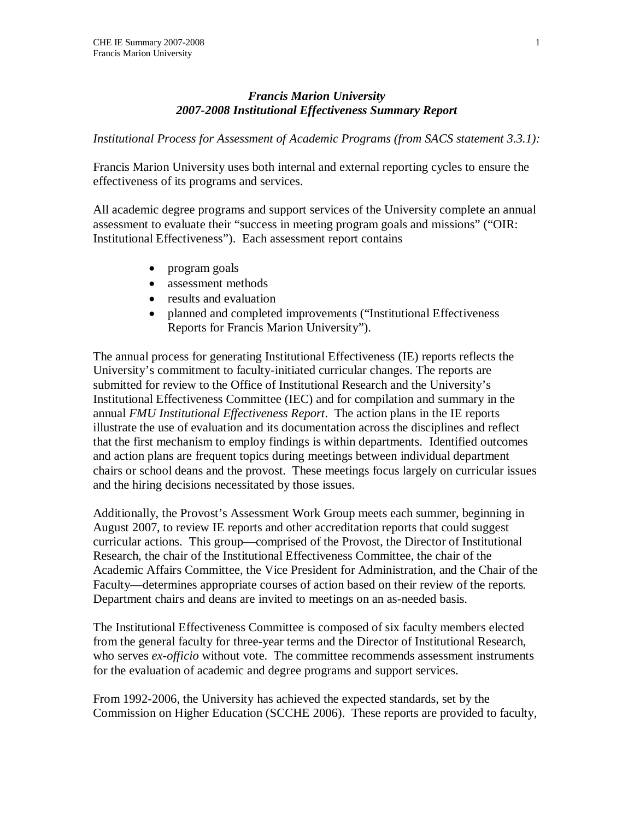# *Francis Marion University 2007-2008 Institutional Effectiveness Summary Report*

*Institutional Process for Assessment of Academic Programs (from SACS statement 3.3.1):*

Francis Marion University uses both internal and external reporting cycles to ensure the effectiveness of its programs and services.

All academic degree programs and support services of the University complete an annual assessment to evaluate their "success in meeting program goals and missions" ("OIR: Institutional Effectiveness"). Each assessment report contains

- program goals
- assessment methods
- results and evaluation
- planned and completed improvements ("Institutional Effectiveness Reports for Francis Marion University").

The annual process for generating Institutional Effectiveness (IE) reports reflects the University's commitment to faculty-initiated curricular changes. The reports are submitted for review to the Office of Institutional Research and the University's Institutional Effectiveness Committee (IEC) and for compilation and summary in the annual *FMU Institutional Effectiveness Report*. The action plans in the IE reports illustrate the use of evaluation and its documentation across the disciplines and reflect that the first mechanism to employ findings is within departments. Identified outcomes and action plans are frequent topics during meetings between individual department chairs or school deans and the provost. These meetings focus largely on curricular issues and the hiring decisions necessitated by those issues.

Additionally, the Provost's Assessment Work Group meets each summer, beginning in August 2007, to review IE reports and other accreditation reports that could suggest curricular actions. This group—comprised of the Provost, the Director of Institutional Research, the chair of the Institutional Effectiveness Committee, the chair of the Academic Affairs Committee, the Vice President for Administration, and the Chair of the Faculty—determines appropriate courses of action based on their review of the reports. Department chairs and deans are invited to meetings on an as-needed basis.

The Institutional Effectiveness Committee is composed of six faculty members elected from the general faculty for three-year terms and the Director of Institutional Research, who serves *ex-officio* without vote. The committee recommends assessment instruments for the evaluation of academic and degree programs and support services.

From 1992-2006, the University has achieved the expected standards, set by the Commission on Higher Education (SCCHE 2006). These reports are provided to faculty,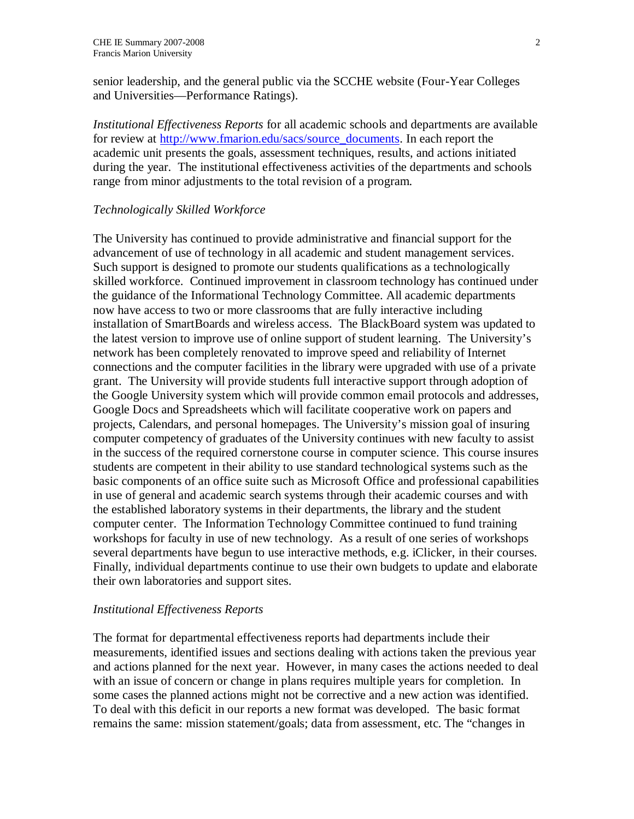senior leadership, and the general public via the SCCHE website (Four-Year Colleges and Universities—Performance Ratings).

*Institutional Effectiveness Reports* for all academic schools and departments are available for review at http://www.fmarion.edu/sacs/source\_documents. In each report the academic unit presents the goals, assessment techniques, results, and actions initiated during the year. The institutional effectiveness activities of the departments and schools range from minor adjustments to the total revision of a program.

### *Technologically Skilled Workforce*

The University has continued to provide administrative and financial support for the advancement of use of technology in all academic and student management services. Such support is designed to promote our students qualifications as a technologically skilled workforce. Continued improvement in classroom technology has continued under the guidance of the Informational Technology Committee. All academic departments now have access to two or more classrooms that are fully interactive including installation of SmartBoards and wireless access. The BlackBoard system was updated to the latest version to improve use of online support of student learning. The University's network has been completely renovated to improve speed and reliability of Internet connections and the computer facilities in the library were upgraded with use of a private grant. The University will provide students full interactive support through adoption of the Google University system which will provide common email protocols and addresses, Google Docs and Spreadsheets which will facilitate cooperative work on papers and projects, Calendars, and personal homepages. The University's mission goal of insuring computer competency of graduates of the University continues with new faculty to assist in the success of the required cornerstone course in computer science. This course insures students are competent in their ability to use standard technological systems such as the basic components of an office suite such as Microsoft Office and professional capabilities in use of general and academic search systems through their academic courses and with the established laboratory systems in their departments, the library and the student computer center. The Information Technology Committee continued to fund training workshops for faculty in use of new technology. As a result of one series of workshops several departments have begun to use interactive methods, e.g. iClicker, in their courses. Finally, individual departments continue to use their own budgets to update and elaborate their own laboratories and support sites.

### *Institutional Effectiveness Reports*

The format for departmental effectiveness reports had departments include their measurements, identified issues and sections dealing with actions taken the previous year and actions planned for the next year. However, in many cases the actions needed to deal with an issue of concern or change in plans requires multiple years for completion. In some cases the planned actions might not be corrective and a new action was identified. To deal with this deficit in our reports a new format was developed. The basic format remains the same: mission statement/goals; data from assessment, etc. The "changes in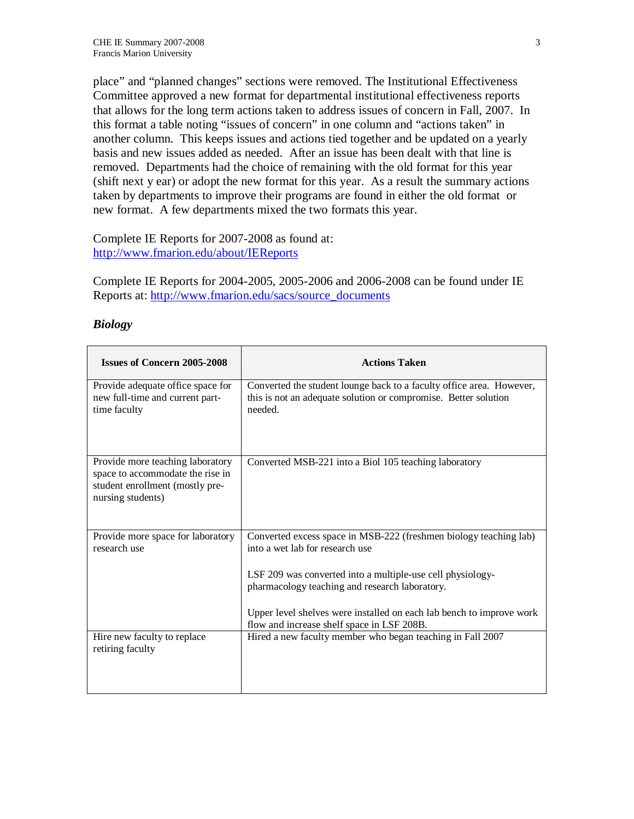place" and "planned changes" sections were removed. The Institutional Effectiveness Committee approved a new format for departmental institutional effectiveness reports that allows for the long term actions taken to address issues of concern in Fall, 2007. In this format a table noting "issues of concern" in one column and "actions taken" in another column. This keeps issues and actions tied together and be updated on a yearly basis and new issues added as needed. After an issue has been dealt with that line is removed. Departments had the choice of remaining with the old format for this year (shift next y ear) or adopt the new format for this year. As a result the summary actions taken by departments to improve their programs are found in either the old format or new format. A few departments mixed the two formats this year.

Complete IE Reports for 2007-2008 as found at: http://www.fmarion.edu/about/IEReports

Complete IE Reports for 2004-2005, 2005-2006 and 2006-2008 can be found under IE Reports at: http://www.fmarion.edu/sacs/source\_documents

| <b>Issues of Concern 2005-2008</b>                                                                                           | <b>Actions Taken</b>                                                                                                                                                                                                                                                                                                                       |
|------------------------------------------------------------------------------------------------------------------------------|--------------------------------------------------------------------------------------------------------------------------------------------------------------------------------------------------------------------------------------------------------------------------------------------------------------------------------------------|
| Provide adequate office space for<br>new full-time and current part-<br>time faculty                                         | Converted the student lounge back to a faculty office area. However,<br>this is not an adequate solution or compromise. Better solution<br>needed.                                                                                                                                                                                         |
| Provide more teaching laboratory<br>space to accommodate the rise in<br>student enrollment (mostly pre-<br>nursing students) | Converted MSB-221 into a Biol 105 teaching laboratory                                                                                                                                                                                                                                                                                      |
| Provide more space for laboratory<br>research use                                                                            | Converted excess space in MSB-222 (freshmen biology teaching lab)<br>into a wet lab for research use<br>LSF 209 was converted into a multiple-use cell physiology-<br>pharmacology teaching and research laboratory.<br>Upper level shelves were installed on each lab bench to improve work<br>flow and increase shelf space in LSF 208B. |
| Hire new faculty to replace<br>retiring faculty                                                                              | Hired a new faculty member who began teaching in Fall 2007                                                                                                                                                                                                                                                                                 |

## *Biology*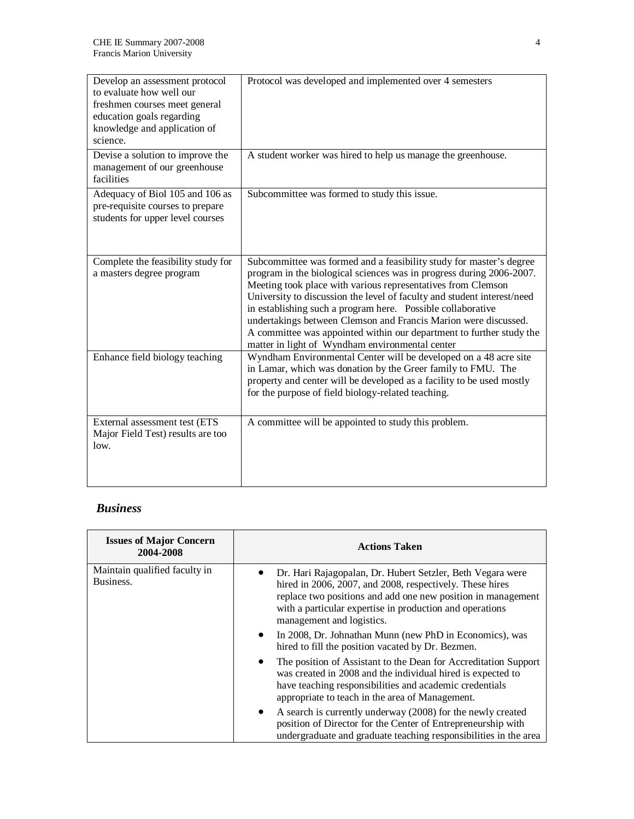| Develop an assessment protocol<br>to evaluate how well our<br>freshmen courses meet general<br>education goals regarding<br>knowledge and application of<br>science. | Protocol was developed and implemented over 4 semesters                                                                                                                                                                                                                                                                                                                                                                                                                                                                                             |
|----------------------------------------------------------------------------------------------------------------------------------------------------------------------|-----------------------------------------------------------------------------------------------------------------------------------------------------------------------------------------------------------------------------------------------------------------------------------------------------------------------------------------------------------------------------------------------------------------------------------------------------------------------------------------------------------------------------------------------------|
| Devise a solution to improve the<br>management of our greenhouse<br>facilities                                                                                       | A student worker was hired to help us manage the greenhouse.                                                                                                                                                                                                                                                                                                                                                                                                                                                                                        |
| Adequacy of Biol 105 and 106 as<br>pre-requisite courses to prepare<br>students for upper level courses                                                              | Subcommittee was formed to study this issue.                                                                                                                                                                                                                                                                                                                                                                                                                                                                                                        |
| Complete the feasibility study for<br>a masters degree program                                                                                                       | Subcommittee was formed and a feasibility study for master's degree<br>program in the biological sciences was in progress during 2006-2007.<br>Meeting took place with various representatives from Clemson<br>University to discussion the level of faculty and student interest/need<br>in establishing such a program here. Possible collaborative<br>undertakings between Clemson and Francis Marion were discussed.<br>A committee was appointed within our department to further study the<br>matter in light of Wyndham environmental center |
| Enhance field biology teaching                                                                                                                                       | Wyndham Environmental Center will be developed on a 48 acre site<br>in Lamar, which was donation by the Greer family to FMU. The<br>property and center will be developed as a facility to be used mostly<br>for the purpose of field biology-related teaching.                                                                                                                                                                                                                                                                                     |
| External assessment test (ETS<br>Major Field Test) results are too<br>low.                                                                                           | A committee will be appointed to study this problem.                                                                                                                                                                                                                                                                                                                                                                                                                                                                                                |

# *Business*

| <b>Issues of Major Concern</b><br>2004-2008 | <b>Actions Taken</b>                                                                                                                                                                                                                                                            |
|---------------------------------------------|---------------------------------------------------------------------------------------------------------------------------------------------------------------------------------------------------------------------------------------------------------------------------------|
| Maintain qualified faculty in<br>Business.  | Dr. Hari Rajagopalan, Dr. Hubert Setzler, Beth Vegara were<br>hired in 2006, 2007, and 2008, respectively. These hires<br>replace two positions and add one new position in management<br>with a particular expertise in production and operations<br>management and logistics. |
|                                             | In 2008, Dr. Johnathan Munn (new PhD in Economics), was<br>$\bullet$<br>hired to fill the position vacated by Dr. Bezmen.                                                                                                                                                       |
|                                             | The position of Assistant to the Dean for Accreditation Support<br>$\bullet$<br>was created in 2008 and the individual hired is expected to<br>have teaching responsibilities and academic credentials<br>appropriate to teach in the area of Management.                       |
|                                             | A search is currently underway (2008) for the newly created<br>$\bullet$<br>position of Director for the Center of Entrepreneurship with<br>undergraduate and graduate teaching responsibilities in the area                                                                    |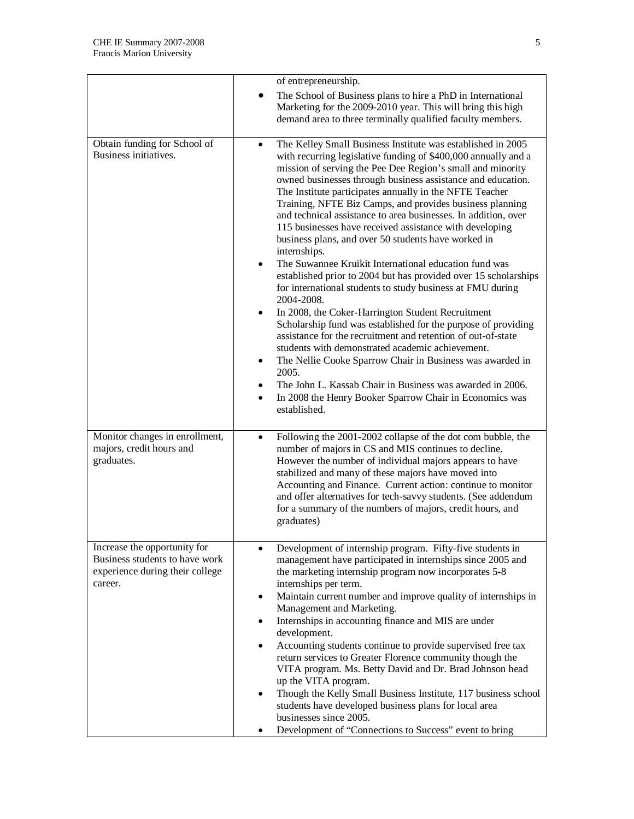|                                                                                                              | of entrepreneurship.                                                                                                                                                                                                                                                                                                                                                                                                                                                                                                                                                                                                                                                                                                                                                                                                                                                                                                                                                                                                                                                                                                                                                                                                                                                                                                |
|--------------------------------------------------------------------------------------------------------------|---------------------------------------------------------------------------------------------------------------------------------------------------------------------------------------------------------------------------------------------------------------------------------------------------------------------------------------------------------------------------------------------------------------------------------------------------------------------------------------------------------------------------------------------------------------------------------------------------------------------------------------------------------------------------------------------------------------------------------------------------------------------------------------------------------------------------------------------------------------------------------------------------------------------------------------------------------------------------------------------------------------------------------------------------------------------------------------------------------------------------------------------------------------------------------------------------------------------------------------------------------------------------------------------------------------------|
|                                                                                                              | The School of Business plans to hire a PhD in International<br>Marketing for the 2009-2010 year. This will bring this high<br>demand area to three terminally qualified faculty members.                                                                                                                                                                                                                                                                                                                                                                                                                                                                                                                                                                                                                                                                                                                                                                                                                                                                                                                                                                                                                                                                                                                            |
| Obtain funding for School of<br>Business initiatives.                                                        | The Kelley Small Business Institute was established in 2005<br>$\bullet$<br>with recurring legislative funding of \$400,000 annually and a<br>mission of serving the Pee Dee Region's small and minority<br>owned businesses through business assistance and education.<br>The Institute participates annually in the NFTE Teacher<br>Training, NFTE Biz Camps, and provides business planning<br>and technical assistance to area businesses. In addition, over<br>115 businesses have received assistance with developing<br>business plans, and over 50 students have worked in<br>internships.<br>The Suwannee Kruikit International education fund was<br>$\bullet$<br>established prior to 2004 but has provided over 15 scholarships<br>for international students to study business at FMU during<br>2004-2008.<br>In 2008, the Coker-Harrington Student Recruitment<br>$\bullet$<br>Scholarship fund was established for the purpose of providing<br>assistance for the recruitment and retention of out-of-state<br>students with demonstrated academic achievement.<br>The Nellie Cooke Sparrow Chair in Business was awarded in<br>٠<br>2005.<br>The John L. Kassab Chair in Business was awarded in 2006.<br>٠<br>In 2008 the Henry Booker Sparrow Chair in Economics was<br>$\bullet$<br>established. |
| Monitor changes in enrollment,<br>majors, credit hours and<br>graduates.                                     | Following the 2001-2002 collapse of the dot com bubble, the<br>$\bullet$<br>number of majors in CS and MIS continues to decline.<br>However the number of individual majors appears to have<br>stabilized and many of these majors have moved into<br>Accounting and Finance. Current action: continue to monitor<br>and offer alternatives for tech-savvy students. (See addendum<br>for a summary of the numbers of majors, credit hours, and<br>graduates)                                                                                                                                                                                                                                                                                                                                                                                                                                                                                                                                                                                                                                                                                                                                                                                                                                                       |
| Increase the opportunity for<br>Business students to have work<br>experience during their college<br>career. | Development of internship program. Fifty-five students in<br>$\bullet$<br>management have participated in internships since 2005 and<br>the marketing internship program now incorporates 5-8<br>internships per term.<br>Maintain current number and improve quality of internships in<br>$\bullet$<br>Management and Marketing.<br>Internships in accounting finance and MIS are under<br>٠<br>development.<br>Accounting students continue to provide supervised free tax<br>٠<br>return services to Greater Florence community though the<br>VITA program. Ms. Betty David and Dr. Brad Johnson head<br>up the VITA program.<br>Though the Kelly Small Business Institute, 117 business school<br>$\bullet$<br>students have developed business plans for local area<br>businesses since 2005.<br>Development of "Connections to Success" event to bring<br>٠                                                                                                                                                                                                                                                                                                                                                                                                                                                   |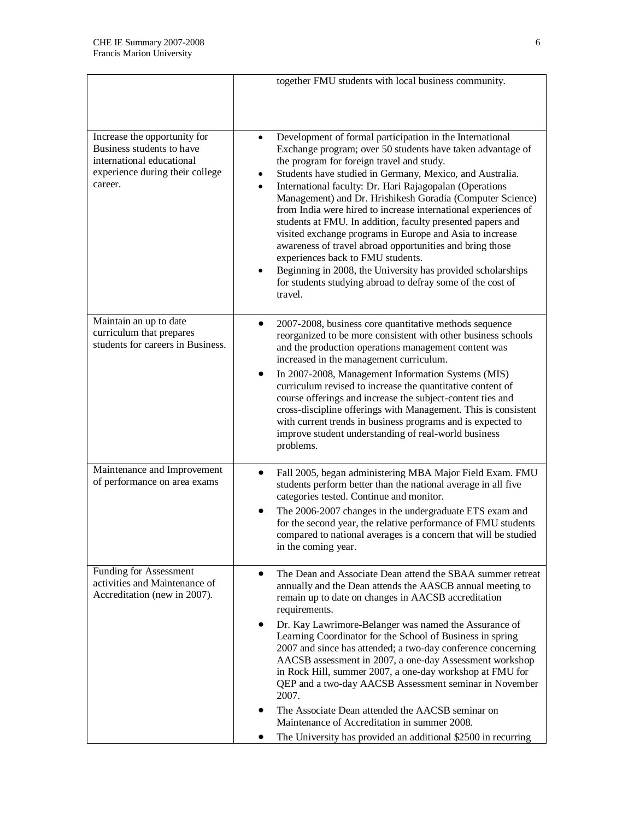|                                                                                                                                      | together FMU students with local business community.                                                                                                                                                                                                                                                                                                                                                                                                                                                                                                                                                                                                                                                                                                                                         |
|--------------------------------------------------------------------------------------------------------------------------------------|----------------------------------------------------------------------------------------------------------------------------------------------------------------------------------------------------------------------------------------------------------------------------------------------------------------------------------------------------------------------------------------------------------------------------------------------------------------------------------------------------------------------------------------------------------------------------------------------------------------------------------------------------------------------------------------------------------------------------------------------------------------------------------------------|
| Increase the opportunity for<br>Business students to have<br>international educational<br>experience during their college<br>career. | Development of formal participation in the International<br>Exchange program; over 50 students have taken advantage of<br>the program for foreign travel and study.<br>Students have studied in Germany, Mexico, and Australia.<br>International faculty: Dr. Hari Rajagopalan (Operations<br>Management) and Dr. Hrishikesh Goradia (Computer Science)<br>from India were hired to increase international experiences of<br>students at FMU. In addition, faculty presented papers and<br>visited exchange programs in Europe and Asia to increase<br>awareness of travel abroad opportunities and bring those<br>experiences back to FMU students.<br>Beginning in 2008, the University has provided scholarships<br>for students studying abroad to defray some of the cost of<br>travel. |
| Maintain an up to date<br>curriculum that prepares<br>students for careers in Business.                                              | 2007-2008, business core quantitative methods sequence<br>$\bullet$<br>reorganized to be more consistent with other business schools<br>and the production operations management content was<br>increased in the management curriculum.<br>In 2007-2008, Management Information Systems (MIS)<br>curriculum revised to increase the quantitative content of<br>course offerings and increase the subject-content ties and<br>cross-discipline offerings with Management. This is consistent<br>with current trends in business programs and is expected to<br>improve student understanding of real-world business<br>problems.                                                                                                                                                              |
| Maintenance and Improvement<br>of performance on area exams                                                                          | Fall 2005, began administering MBA Major Field Exam. FMU<br>$\bullet$<br>students perform better than the national average in all five<br>categories tested. Continue and monitor.<br>The 2006-2007 changes in the undergraduate ETS exam and<br>for the second year, the relative performance of FMU students<br>compared to national averages is a concern that will be studied<br>in the coming year.                                                                                                                                                                                                                                                                                                                                                                                     |
| Funding for Assessment<br>activities and Maintenance of<br>Accreditation (new in 2007).                                              | The Dean and Associate Dean attend the SBAA summer retreat<br>annually and the Dean attends the AASCB annual meeting to<br>remain up to date on changes in AACSB accreditation<br>requirements.<br>Dr. Kay Lawrimore-Belanger was named the Assurance of<br>Learning Coordinator for the School of Business in spring<br>2007 and since has attended; a two-day conference concerning<br>AACSB assessment in 2007, a one-day Assessment workshop<br>in Rock Hill, summer 2007, a one-day workshop at FMU for<br>QEP and a two-day AACSB Assessment seminar in November<br>2007.<br>The Associate Dean attended the AACSB seminar on<br>Maintenance of Accreditation in summer 2008.<br>The University has provided an additional \$2500 in recurring                                         |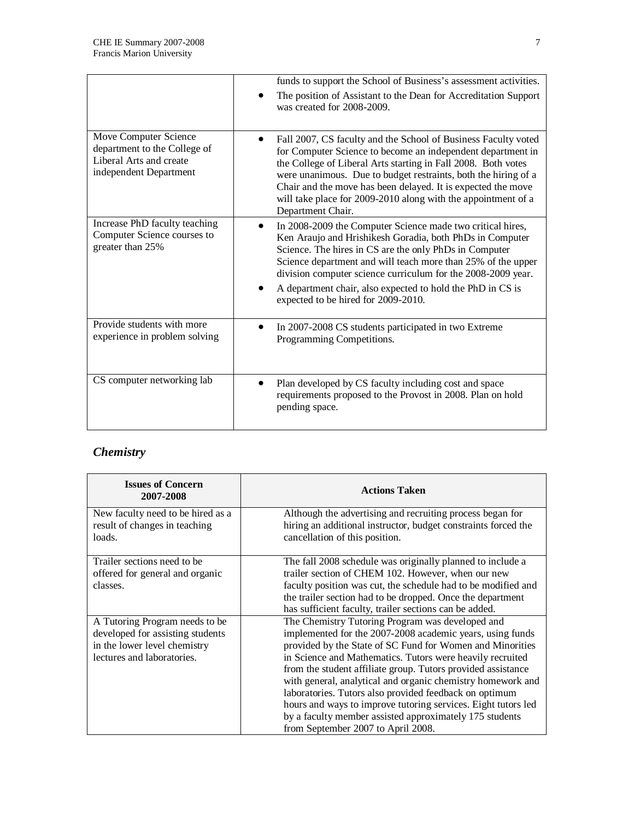|                                                                                                            | funds to support the School of Business's assessment activities.                                                                                                                                                                                                                                                                                                                                                       |
|------------------------------------------------------------------------------------------------------------|------------------------------------------------------------------------------------------------------------------------------------------------------------------------------------------------------------------------------------------------------------------------------------------------------------------------------------------------------------------------------------------------------------------------|
|                                                                                                            | The position of Assistant to the Dean for Accreditation Support<br>was created for 2008-2009.                                                                                                                                                                                                                                                                                                                          |
| Move Computer Science<br>department to the College of<br>Liberal Arts and create<br>independent Department | Fall 2007, CS faculty and the School of Business Faculty voted<br>for Computer Science to become an independent department in<br>the College of Liberal Arts starting in Fall 2008. Both votes<br>were unanimous. Due to budget restraints, both the hiring of a<br>Chair and the move has been delayed. It is expected the move<br>will take place for 2009-2010 along with the appointment of a<br>Department Chair. |
| Increase PhD faculty teaching<br>Computer Science courses to<br>greater than 25%                           | In 2008-2009 the Computer Science made two critical hires,<br>Ken Araujo and Hrishikesh Goradia, both PhDs in Computer<br>Science. The hires in CS are the only PhDs in Computer<br>Science department and will teach more than 25% of the upper<br>division computer science curriculum for the 2008-2009 year.<br>A department chair, also expected to hold the PhD in CS is<br>expected to be hired for 2009-2010.  |
| Provide students with more<br>experience in problem solving                                                | In 2007-2008 CS students participated in two Extreme<br>Programming Competitions.                                                                                                                                                                                                                                                                                                                                      |
| CS computer networking lab                                                                                 | Plan developed by CS faculty including cost and space<br>$\bullet$<br>requirements proposed to the Provost in 2008. Plan on hold<br>pending space.                                                                                                                                                                                                                                                                     |

# *Chemistry*

| <b>Issues of Concern</b><br>2007-2008                                                                                            | <b>Actions Taken</b>                                                                                                                                                                                                                                                                                                                                                                                                                                                                                                                                                                               |
|----------------------------------------------------------------------------------------------------------------------------------|----------------------------------------------------------------------------------------------------------------------------------------------------------------------------------------------------------------------------------------------------------------------------------------------------------------------------------------------------------------------------------------------------------------------------------------------------------------------------------------------------------------------------------------------------------------------------------------------------|
| New faculty need to be hired as a<br>result of changes in teaching<br>loads.                                                     | Although the advertising and recruiting process began for<br>hiring an additional instructor, budget constraints forced the<br>cancellation of this position.                                                                                                                                                                                                                                                                                                                                                                                                                                      |
| Trailer sections need to be.<br>offered for general and organic<br>classes.                                                      | The fall 2008 schedule was originally planned to include a<br>trailer section of CHEM 102. However, when our new<br>faculty position was cut, the schedule had to be modified and<br>the trailer section had to be dropped. Once the department<br>has sufficient faculty, trailer sections can be added.                                                                                                                                                                                                                                                                                          |
| A Tutoring Program needs to be<br>developed for assisting students<br>in the lower level chemistry<br>lectures and laboratories. | The Chemistry Tutoring Program was developed and<br>implemented for the 2007-2008 academic years, using funds<br>provided by the State of SC Fund for Women and Minorities<br>in Science and Mathematics. Tutors were heavily recruited<br>from the student affiliate group. Tutors provided assistance<br>with general, analytical and organic chemistry homework and<br>laboratories. Tutors also provided feedback on optimum<br>hours and ways to improve tutoring services. Eight tutors led<br>by a faculty member assisted approximately 175 students<br>from September 2007 to April 2008. |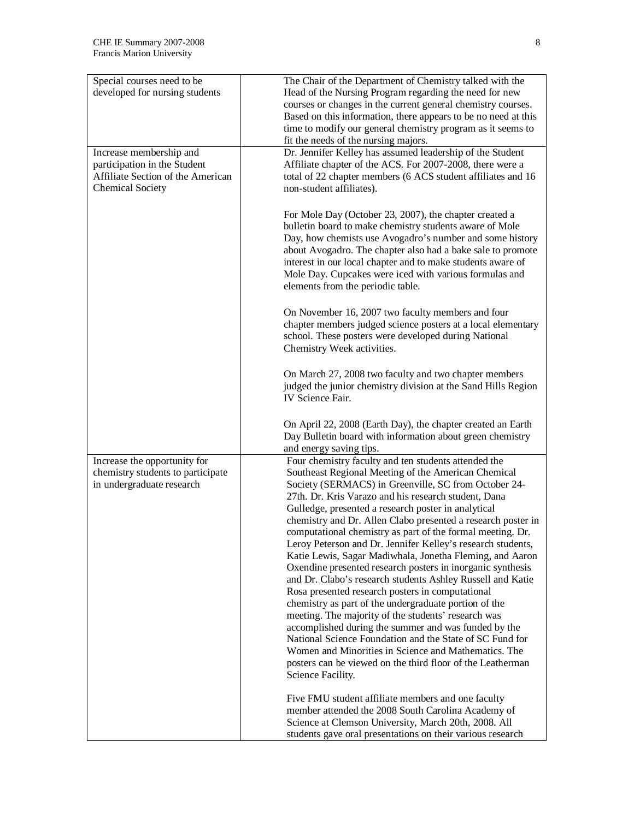| Special courses need to be<br>developed for nursing students                                                            | The Chair of the Department of Chemistry talked with the<br>Head of the Nursing Program regarding the need for new<br>courses or changes in the current general chemistry courses.                                                                                                                                                                                                                         |
|-------------------------------------------------------------------------------------------------------------------------|------------------------------------------------------------------------------------------------------------------------------------------------------------------------------------------------------------------------------------------------------------------------------------------------------------------------------------------------------------------------------------------------------------|
|                                                                                                                         | Based on this information, there appears to be no need at this<br>time to modify our general chemistry program as it seems to                                                                                                                                                                                                                                                                              |
|                                                                                                                         | fit the needs of the nursing majors.                                                                                                                                                                                                                                                                                                                                                                       |
| Increase membership and<br>participation in the Student<br>Affiliate Section of the American<br><b>Chemical Society</b> | Dr. Jennifer Kelley has assumed leadership of the Student<br>Affiliate chapter of the ACS. For 2007-2008, there were a<br>total of 22 chapter members (6 ACS student affiliates and 16<br>non-student affiliates).                                                                                                                                                                                         |
|                                                                                                                         | For Mole Day (October 23, 2007), the chapter created a<br>bulletin board to make chemistry students aware of Mole<br>Day, how chemists use Avogadro's number and some history<br>about Avogadro. The chapter also had a bake sale to promote<br>interest in our local chapter and to make students aware of<br>Mole Day. Cupcakes were iced with various formulas and<br>elements from the periodic table. |
|                                                                                                                         | On November 16, 2007 two faculty members and four<br>chapter members judged science posters at a local elementary<br>school. These posters were developed during National<br>Chemistry Week activities.                                                                                                                                                                                                    |
|                                                                                                                         | On March 27, 2008 two faculty and two chapter members<br>judged the junior chemistry division at the Sand Hills Region<br>IV Science Fair.                                                                                                                                                                                                                                                                 |
|                                                                                                                         | On April 22, 2008 (Earth Day), the chapter created an Earth<br>Day Bulletin board with information about green chemistry<br>and energy saving tips.                                                                                                                                                                                                                                                        |
| Increase the opportunity for                                                                                            | Four chemistry faculty and ten students attended the                                                                                                                                                                                                                                                                                                                                                       |
| chemistry students to participate<br>in undergraduate research                                                          | Southeast Regional Meeting of the American Chemical<br>Society (SERMACS) in Greenville, SC from October 24-<br>27th. Dr. Kris Varazo and his research student, Dana<br>Gulledge, presented a research poster in analytical                                                                                                                                                                                 |
|                                                                                                                         | chemistry and Dr. Allen Clabo presented a research poster in<br>computational chemistry as part of the formal meeting. Dr.<br>Leroy Peterson and Dr. Jennifer Kelley's research students,                                                                                                                                                                                                                  |
|                                                                                                                         | Katie Lewis, Sagar Madiwhala, Jonetha Fleming, and Aaron<br>Oxendine presented research posters in inorganic synthesis<br>and Dr. Clabo's research students Ashley Russell and Katie                                                                                                                                                                                                                       |
|                                                                                                                         | Rosa presented research posters in computational<br>chemistry as part of the undergraduate portion of the<br>meeting. The majority of the students' research was<br>accomplished during the summer and was funded by the                                                                                                                                                                                   |
|                                                                                                                         | National Science Foundation and the State of SC Fund for<br>Women and Minorities in Science and Mathematics. The<br>posters can be viewed on the third floor of the Leatherman<br>Science Facility.                                                                                                                                                                                                        |
|                                                                                                                         | Five FMU student affiliate members and one faculty<br>member attended the 2008 South Carolina Academy of<br>Science at Clemson University, March 20th, 2008. All<br>students gave oral presentations on their various research                                                                                                                                                                             |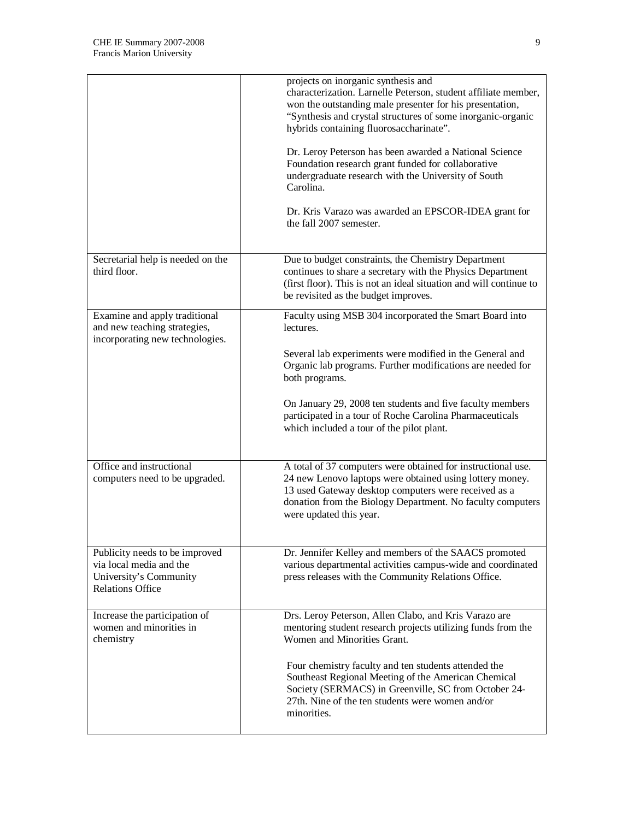|                                                                                                                | projects on inorganic synthesis and<br>characterization. Larnelle Peterson, student affiliate member,<br>won the outstanding male presenter for his presentation,<br>"Synthesis and crystal structures of some inorganic-organic<br>hybrids containing fluorosaccharinate".<br>Dr. Leroy Peterson has been awarded a National Science<br>Foundation research grant funded for collaborative<br>undergraduate research with the University of South<br>Carolina.<br>Dr. Kris Varazo was awarded an EPSCOR-IDEA grant for<br>the fall 2007 semester. |
|----------------------------------------------------------------------------------------------------------------|----------------------------------------------------------------------------------------------------------------------------------------------------------------------------------------------------------------------------------------------------------------------------------------------------------------------------------------------------------------------------------------------------------------------------------------------------------------------------------------------------------------------------------------------------|
| Secretarial help is needed on the<br>third floor.                                                              | Due to budget constraints, the Chemistry Department<br>continues to share a secretary with the Physics Department<br>(first floor). This is not an ideal situation and will continue to<br>be revisited as the budget improves.                                                                                                                                                                                                                                                                                                                    |
| Examine and apply traditional<br>and new teaching strategies,<br>incorporating new technologies.               | Faculty using MSB 304 incorporated the Smart Board into<br>lectures.<br>Several lab experiments were modified in the General and<br>Organic lab programs. Further modifications are needed for<br>both programs.<br>On January 29, 2008 ten students and five faculty members<br>participated in a tour of Roche Carolina Pharmaceuticals<br>which included a tour of the pilot plant.                                                                                                                                                             |
| Office and instructional<br>computers need to be upgraded.                                                     | A total of 37 computers were obtained for instructional use.<br>24 new Lenovo laptops were obtained using lottery money.<br>13 used Gateway desktop computers were received as a<br>donation from the Biology Department. No faculty computers<br>were updated this year.                                                                                                                                                                                                                                                                          |
| Publicity needs to be improved<br>via local media and the<br>University's Community<br><b>Relations Office</b> | Dr. Jennifer Kelley and members of the SAACS promoted<br>various departmental activities campus-wide and coordinated<br>press releases with the Community Relations Office.                                                                                                                                                                                                                                                                                                                                                                        |
| Increase the participation of<br>women and minorities in<br>chemistry                                          | Drs. Leroy Peterson, Allen Clabo, and Kris Varazo are<br>mentoring student research projects utilizing funds from the<br>Women and Minorities Grant.<br>Four chemistry faculty and ten students attended the<br>Southeast Regional Meeting of the American Chemical<br>Society (SERMACS) in Greenville, SC from October 24-<br>27th. Nine of the ten students were women and/or<br>minorities.                                                                                                                                                     |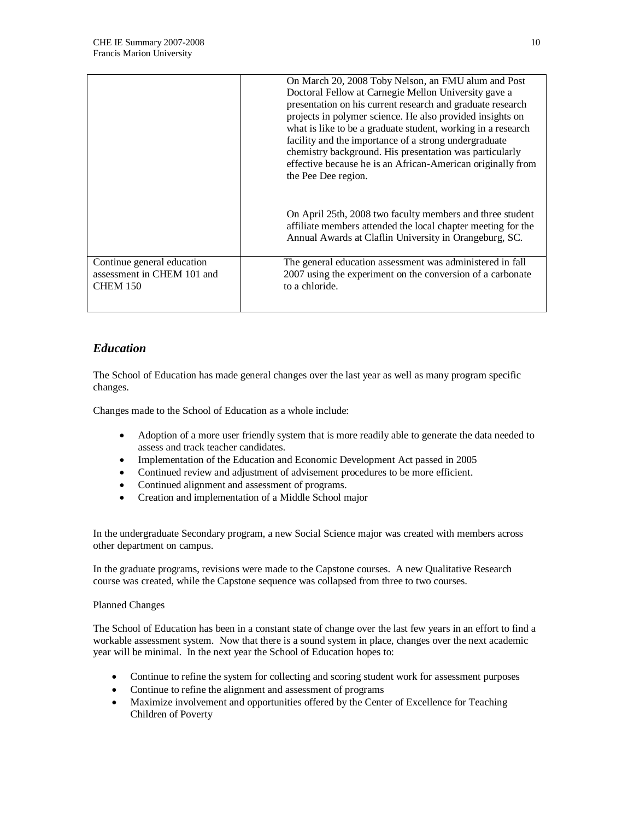|                                                                             | On March 20, 2008 Toby Nelson, an FMU alum and Post<br>Doctoral Fellow at Carnegie Mellon University gave a<br>presentation on his current research and graduate research<br>projects in polymer science. He also provided insights on<br>what is like to be a graduate student, working in a research<br>facility and the importance of a strong undergraduate<br>chemistry background. His presentation was particularly<br>effective because he is an African-American originally from<br>the Pee Dee region. |
|-----------------------------------------------------------------------------|------------------------------------------------------------------------------------------------------------------------------------------------------------------------------------------------------------------------------------------------------------------------------------------------------------------------------------------------------------------------------------------------------------------------------------------------------------------------------------------------------------------|
|                                                                             | On April 25th, 2008 two faculty members and three student<br>affiliate members attended the local chapter meeting for the<br>Annual Awards at Claflin University in Orangeburg, SC.                                                                                                                                                                                                                                                                                                                              |
| Continue general education<br>assessment in CHEM 101 and<br><b>CHEM 150</b> | The general education assessment was administered in fall<br>2007 using the experiment on the conversion of a carbonate<br>to a chloride.                                                                                                                                                                                                                                                                                                                                                                        |

### *Education*

The School of Education has made general changes over the last year as well as many program specific changes.

Changes made to the School of Education as a whole include:

- Adoption of a more user friendly system that is more readily able to generate the data needed to assess and track teacher candidates.
- Implementation of the Education and Economic Development Act passed in 2005
- Continued review and adjustment of advisement procedures to be more efficient.
- Continued alignment and assessment of programs.
- Creation and implementation of a Middle School major

In the undergraduate Secondary program, a new Social Science major was created with members across other department on campus.

In the graduate programs, revisions were made to the Capstone courses. A new Qualitative Research course was created, while the Capstone sequence was collapsed from three to two courses.

#### Planned Changes

The School of Education has been in a constant state of change over the last few years in an effort to find a workable assessment system. Now that there is a sound system in place, changes over the next academic year will be minimal. In the next year the School of Education hopes to:

- Continue to refine the system for collecting and scoring student work for assessment purposes
- Continue to refine the alignment and assessment of programs
- Maximize involvement and opportunities offered by the Center of Excellence for Teaching Children of Poverty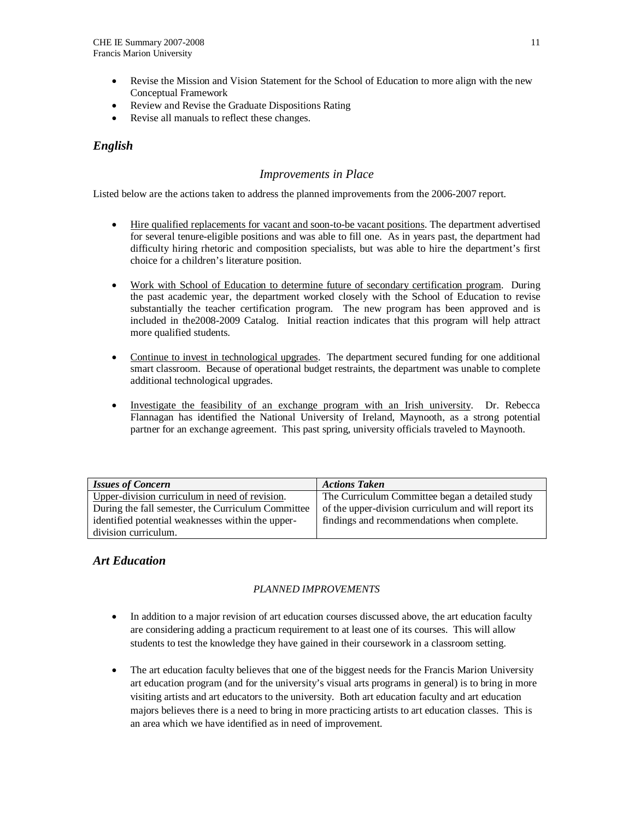- Revise the Mission and Vision Statement for the School of Education to more align with the new Conceptual Framework
- Review and Revise the Graduate Dispositions Rating
- Revise all manuals to reflect these changes.

## *English*

### *Improvements in Place*

Listed below are the actions taken to address the planned improvements from the 2006-2007 report.

- Hire qualified replacements for vacant and soon-to-be vacant positions. The department advertised for several tenure-eligible positions and was able to fill one. As in years past, the department had difficulty hiring rhetoric and composition specialists, but was able to hire the department's first choice for a children's literature position.
- Work with School of Education to determine future of secondary certification program. During the past academic year, the department worked closely with the School of Education to revise substantially the teacher certification program. The new program has been approved and is included in the2008-2009 Catalog. Initial reaction indicates that this program will help attract more qualified students.
- Continue to invest in technological upgrades. The department secured funding for one additional smart classroom. Because of operational budget restraints, the department was unable to complete additional technological upgrades.
- Investigate the feasibility of an exchange program with an Irish university. Dr. Rebecca Flannagan has identified the National University of Ireland, Maynooth, as a strong potential partner for an exchange agreement. This past spring, university officials traveled to Maynooth.

| <b>Issues of Concern</b>                           | <b>Actions Taken</b>                                 |
|----------------------------------------------------|------------------------------------------------------|
| Upper-division curriculum in need of revision.     | The Curriculum Committee began a detailed study      |
| During the fall semester, the Curriculum Committee | of the upper-division curriculum and will report its |
| identified potential weaknesses within the upper-  | findings and recommendations when complete.          |
| division curriculum.                               |                                                      |

### *Art Education*

### *PLANNED IMPROVEMENTS*

- In addition to a major revision of art education courses discussed above, the art education faculty are considering adding a practicum requirement to at least one of its courses. This will allow students to test the knowledge they have gained in their coursework in a classroom setting.
- The art education faculty believes that one of the biggest needs for the Francis Marion University art education program (and for the university's visual arts programs in general) is to bring in more visiting artists and art educators to the university. Both art education faculty and art education majors believes there is a need to bring in more practicing artists to art education classes. This is an area which we have identified as in need of improvement.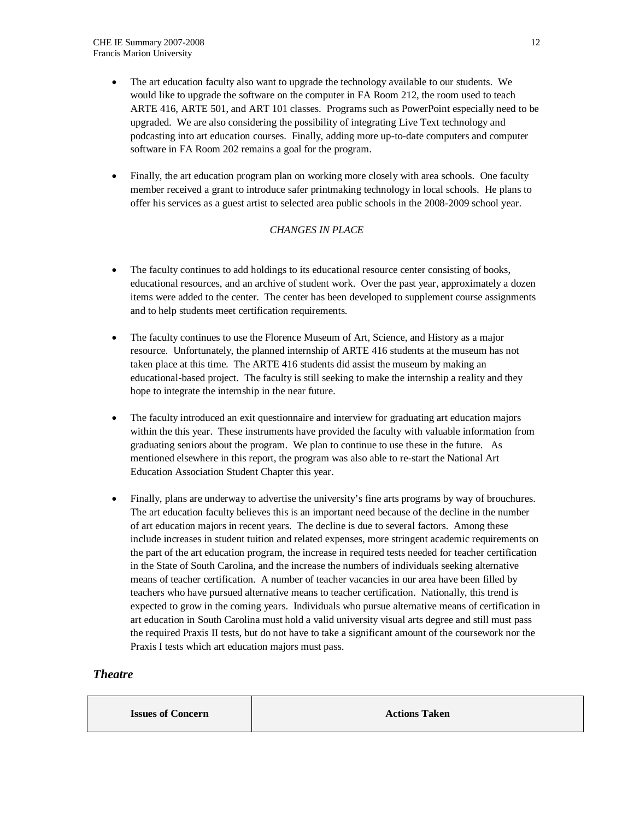- The art education faculty also want to upgrade the technology available to our students. We would like to upgrade the software on the computer in FA Room 212, the room used to teach ARTE 416, ARTE 501, and ART 101 classes. Programs such as PowerPoint especially need to be upgraded. We are also considering the possibility of integrating Live Text technology and podcasting into art education courses. Finally, adding more up-to-date computers and computer software in FA Room 202 remains a goal for the program.
- Finally, the art education program plan on working more closely with area schools. One faculty member received a grant to introduce safer printmaking technology in local schools. He plans to offer his services as a guest artist to selected area public schools in the 2008-2009 school year.

### *CHANGES IN PLACE*

- The faculty continues to add holdings to its educational resource center consisting of books, educational resources, and an archive of student work. Over the past year, approximately a dozen items were added to the center. The center has been developed to supplement course assignments and to help students meet certification requirements.
- The faculty continues to use the Florence Museum of Art, Science, and History as a major resource. Unfortunately, the planned internship of ARTE 416 students at the museum has not taken place at this time. The ARTE 416 students did assist the museum by making an educational-based project. The faculty is still seeking to make the internship a reality and they hope to integrate the internship in the near future.
- The faculty introduced an exit questionnaire and interview for graduating art education majors within the this year. These instruments have provided the faculty with valuable information from graduating seniors about the program. We plan to continue to use these in the future. As mentioned elsewhere in this report, the program was also able to re-start the National Art Education Association Student Chapter this year.
- Finally, plans are underway to advertise the university's fine arts programs by way of brouchures. The art education faculty believes this is an important need because of the decline in the number of art education majors in recent years. The decline is due to several factors. Among these include increases in student tuition and related expenses, more stringent academic requirements on the part of the art education program, the increase in required tests needed for teacher certification in the State of South Carolina, and the increase the numbers of individuals seeking alternative means of teacher certification. A number of teacher vacancies in our area have been filled by teachers who have pursued alternative means to teacher certification. Nationally, this trend is expected to grow in the coming years. Individuals who pursue alternative means of certification in art education in South Carolina must hold a valid university visual arts degree and still must pass the required Praxis II tests, but do not have to take a significant amount of the coursework nor the Praxis I tests which art education majors must pass.

### *Theatre*

**Issues of Concern Actions Taken**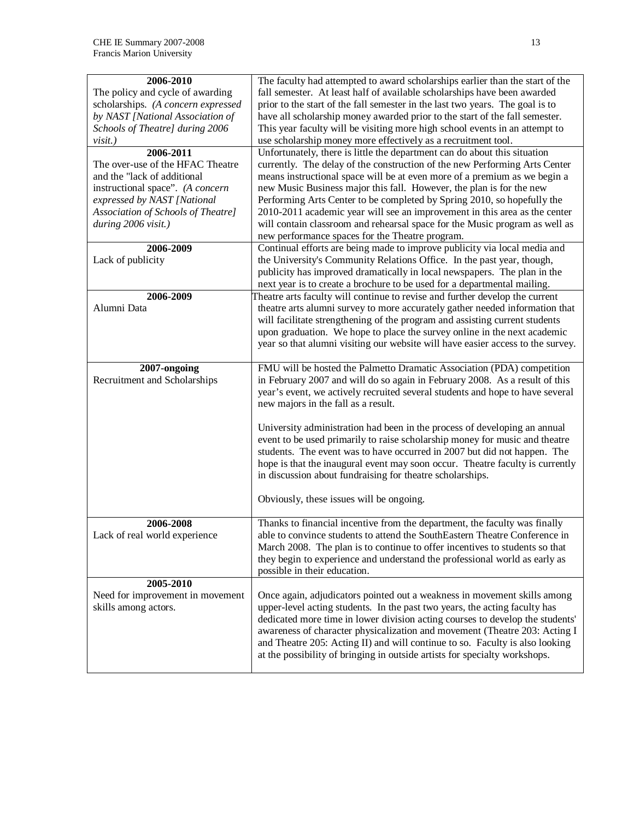| 2006-2010                          | The faculty had attempted to award scholarships earlier than the start of the   |
|------------------------------------|---------------------------------------------------------------------------------|
| The policy and cycle of awarding   | fall semester. At least half of available scholarships have been awarded        |
| scholarships. (A concern expressed | prior to the start of the fall semester in the last two years. The goal is to   |
| by NAST [National Association of   | have all scholarship money awarded prior to the start of the fall semester.     |
| Schools of Theatre] during 2006    | This year faculty will be visiting more high school events in an attempt to     |
| $visit.$ )                         | use scholarship money more effectively as a recruitment tool.                   |
| 2006-2011                          | Unfortunately, there is little the department can do about this situation       |
| The over-use of the HFAC Theatre   | currently. The delay of the construction of the new Performing Arts Center      |
| and the "lack of additional        | means instructional space will be at even more of a premium as we begin a       |
| instructional space". (A concern   | new Music Business major this fall. However, the plan is for the new            |
| expressed by NAST [National        | Performing Arts Center to be completed by Spring 2010, so hopefully the         |
| Association of Schools of Theatre] | 2010-2011 academic year will see an improvement in this area as the center      |
| during 2006 visit.)                | will contain classroom and rehearsal space for the Music program as well as     |
|                                    | new performance spaces for the Theatre program.                                 |
| 2006-2009                          | Continual efforts are being made to improve publicity via local media and       |
| Lack of publicity                  | the University's Community Relations Office. In the past year, though,          |
|                                    | publicity has improved dramatically in local newspapers. The plan in the        |
|                                    | next year is to create a brochure to be used for a departmental mailing.        |
| 2006-2009                          | Theatre arts faculty will continue to revise and further develop the current    |
| Alumni Data                        | theatre arts alumni survey to more accurately gather needed information that    |
|                                    | will facilitate strengthening of the program and assisting current students     |
|                                    | upon graduation. We hope to place the survey online in the next academic        |
|                                    | year so that alumni visiting our website will have easier access to the survey. |
|                                    |                                                                                 |
| 2007-ongoing                       | FMU will be hosted the Palmetto Dramatic Association (PDA) competition          |
| Recruitment and Scholarships       | in February 2007 and will do so again in February 2008. As a result of this     |
|                                    |                                                                                 |
|                                    | year's event, we actively recruited several students and hope to have several   |
|                                    | new majors in the fall as a result.                                             |
|                                    | University administration had been in the process of developing an annual       |
|                                    | event to be used primarily to raise scholarship money for music and theatre     |
|                                    |                                                                                 |
|                                    | students. The event was to have occurred in 2007 but did not happen. The        |
|                                    | hope is that the inaugural event may soon occur. Theatre faculty is currently   |
|                                    | in discussion about fundraising for theatre scholarships.                       |
|                                    |                                                                                 |
|                                    | Obviously, these issues will be ongoing.                                        |
|                                    |                                                                                 |
| 2006-2008                          | Thanks to financial incentive from the department, the faculty was finally      |
| Lack of real world experience      | able to convince students to attend the SouthEastern Theatre Conference in      |
|                                    | March 2008. The plan is to continue to offer incentives to students so that     |
|                                    | they begin to experience and understand the professional world as early as      |
|                                    | possible in their education.                                                    |
| 2005-2010                          |                                                                                 |
| Need for improvement in movement   | Once again, adjudicators pointed out a weakness in movement skills among        |
| skills among actors.               | upper-level acting students. In the past two years, the acting faculty has      |
|                                    | dedicated more time in lower division acting courses to develop the students'   |
|                                    | awareness of character physicalization and movement (Theatre 203: Acting I      |
|                                    | and Theatre 205: Acting II) and will continue to so. Faculty is also looking    |
|                                    | at the possibility of bringing in outside artists for specialty workshops.      |
|                                    |                                                                                 |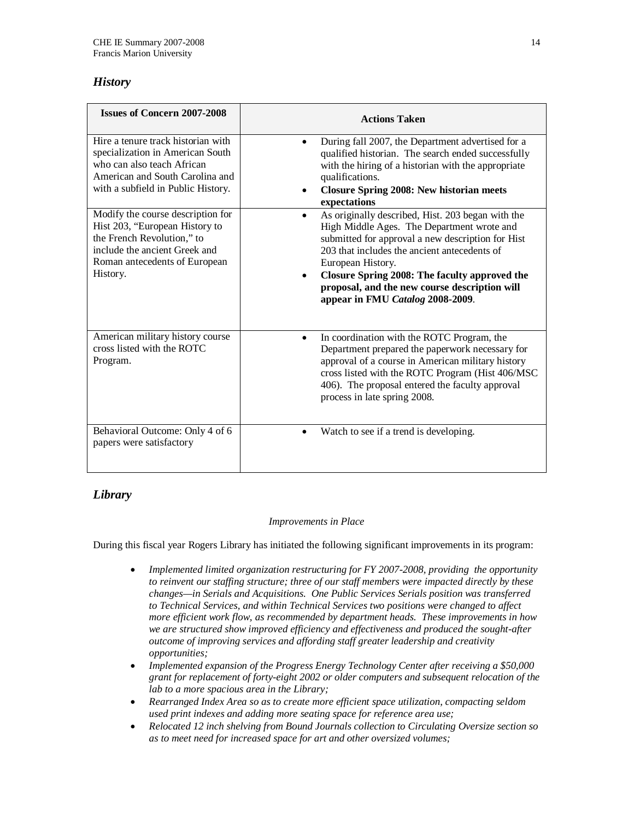# *History*

| <b>Issues of Concern 2007-2008</b>                                                                                                                                              | <b>Actions Taken</b>                                                                                                                                                                                                                                                                                                                                                         |
|---------------------------------------------------------------------------------------------------------------------------------------------------------------------------------|------------------------------------------------------------------------------------------------------------------------------------------------------------------------------------------------------------------------------------------------------------------------------------------------------------------------------------------------------------------------------|
| Hire a tenure track historian with<br>specialization in American South<br>who can also teach African<br>American and South Carolina and<br>with a subfield in Public History.   | During fall 2007, the Department advertised for a<br>qualified historian. The search ended successfully<br>with the hiring of a historian with the appropriate<br>qualifications.<br><b>Closure Spring 2008: New historian meets</b><br>expectations                                                                                                                         |
| Modify the course description for<br>Hist 203, "European History to<br>the French Revolution," to<br>include the ancient Greek and<br>Roman antecedents of European<br>History. | As originally described, Hist. 203 began with the<br>$\bullet$<br>High Middle Ages. The Department wrote and<br>submitted for approval a new description for Hist<br>203 that includes the ancient antecedents of<br>European History.<br>Closure Spring 2008: The faculty approved the<br>proposal, and the new course description will<br>appear in FMU Catalog 2008-2009. |
| American military history course<br>cross listed with the ROTC<br>Program.                                                                                                      | In coordination with the ROTC Program, the<br>$\bullet$<br>Department prepared the paperwork necessary for<br>approval of a course in American military history<br>cross listed with the ROTC Program (Hist 406/MSC<br>406). The proposal entered the faculty approval<br>process in late spring 2008.                                                                       |
| Behavioral Outcome: Only 4 of 6<br>papers were satisfactory                                                                                                                     | Watch to see if a trend is developing.                                                                                                                                                                                                                                                                                                                                       |

# *Library*

### *Improvements in Place*

During this fiscal year Rogers Library has initiated the following significant improvements in its program:

- *Implemented limited organization restructuring for FY 2007-2008, providing the opportunity to reinvent our staffing structure; three of our staff members were impacted directly by these changes—in Serials and Acquisitions. One Public Services Serials position was transferred to Technical Services, and within Technical Services two positions were changed to affect more efficient work flow, as recommended by department heads. These improvements in how we are structured show improved efficiency and effectiveness and produced the sought-after outcome of improving services and affording staff greater leadership and creativity opportunities;*
- *Implemented expansion of the Progress Energy Technology Center after receiving a \$50,000 grant for replacement of forty-eight 2002 or older computers and subsequent relocation of the lab to a more spacious area in the Library;*
- *Rearranged Index Area so as to create more efficient space utilization, compacting seldom used print indexes and adding more seating space for reference area use;*
- *Relocated 12 inch shelving from Bound Journals collection to Circulating Oversize section so as to meet need for increased space for art and other oversized volumes;*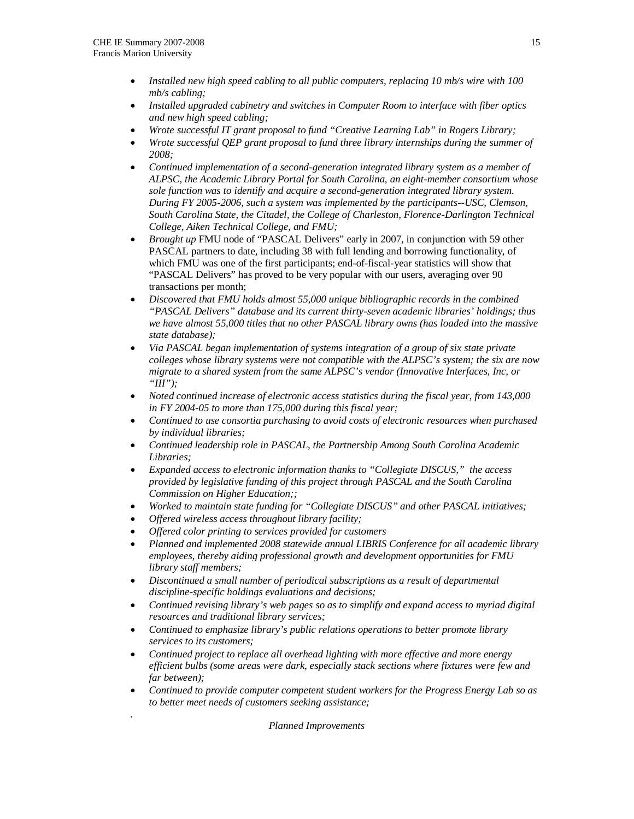*.* 

- *Installed new high speed cabling to all public computers, replacing 10 mb/s wire with 100 mb/s cabling;*
- *Installed upgraded cabinetry and switches in Computer Room to interface with fiber optics and new high speed cabling;*
- *Wrote successful IT grant proposal to fund "Creative Learning Lab" in Rogers Library;*
- *Wrote successful QEP grant proposal to fund three library internships during the summer of 2008;*
- *Continued implementation of a second-generation integrated library system as a member of ALPSC, the Academic Library Portal for South Carolina, an eight-member consortium whose sole function was to identify and acquire a second-generation integrated library system. During FY 2005-2006, such a system was implemented by the participants--USC, Clemson, South Carolina State, the Citadel, the College of Charleston, Florence-Darlington Technical College, Aiken Technical College, and FMU;*
- *Brought up* FMU node of "PASCAL Delivers" early in 2007, in conjunction with 59 other PASCAL partners to date, including 38 with full lending and borrowing functionality, of which FMU was one of the first participants; end-of-fiscal-year statistics will show that "PASCAL Delivers" has proved to be very popular with our users, averaging over 90 transactions per month;
- *Discovered that FMU holds almost 55,000 unique bibliographic records in the combined "PASCAL Delivers" database and its current thirty-seven academic libraries' holdings; thus we have almost 55,000 titles that no other PASCAL library owns (has loaded into the massive state database);*
- *Via PASCAL began implementation of systems integration of a group of six state private colleges whose library systems were not compatible with the ALPSC's system; the six are now migrate to a shared system from the same ALPSC's vendor (Innovative Interfaces, Inc, or "III");*
- *Noted continued increase of electronic access statistics during the fiscal year, from 143,000 in FY 2004-05 to more than 175,000 during this fiscal year;*
- *Continued to use consortia purchasing to avoid costs of electronic resources when purchased by individual libraries;*
- *Continued leadership role in PASCAL, the Partnership Among South Carolina Academic Libraries;*
- *Expanded access to electronic information thanks to "Collegiate DISCUS," the access provided by legislative funding of this project through PASCAL and the South Carolina Commission on Higher Education;;*
- *Worked to maintain state funding for "Collegiate DISCUS" and other PASCAL initiatives;*
- *Offered wireless access throughout library facility;*
- *Offered color printing to services provided for customers*
- *Planned and implemented 2008 statewide annual LIBRIS Conference for all academic library employees, thereby aiding professional growth and development opportunities for FMU library staff members;*
- *Discontinued a small number of periodical subscriptions as a result of departmental discipline-specific holdings evaluations and decisions;*
- *Continued revising library's web pages so as to simplify and expand access to myriad digital resources and traditional library services;*
- *Continued to emphasize library's public relations operations to better promote library services to its customers;*
- *Continued project to replace all overhead lighting with more effective and more energy efficient bulbs (some areas were dark, especially stack sections where fixtures were few and far between);*
- *Continued to provide computer competent student workers for the Progress Energy Lab so as to better meet needs of customers seeking assistance;*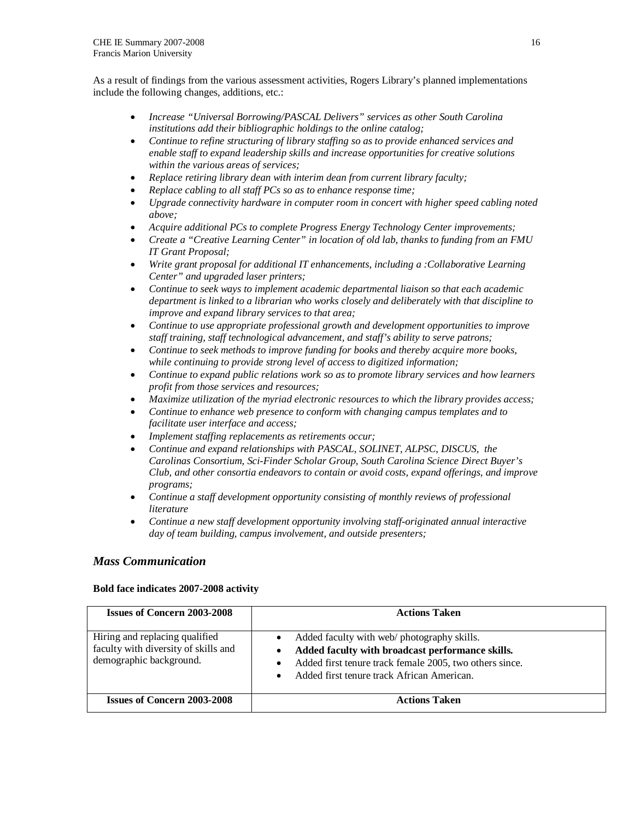As a result of findings from the various assessment activities, Rogers Library's planned implementations include the following changes, additions, etc.:

- *Increase "Universal Borrowing/PASCAL Delivers" services as other South Carolina institutions add their bibliographic holdings to the online catalog;*
- *Continue to refine structuring of library staffing so as to provide enhanced services and enable staff to expand leadership skills and increase opportunities for creative solutions within the various areas of services;*
- *Replace retiring library dean with interim dean from current library faculty;*
- *Replace cabling to all staff PCs so as to enhance response time;*
- *Upgrade connectivity hardware in computer room in concert with higher speed cabling noted above;*
- *Acquire additional PCs to complete Progress Energy Technology Center improvements;*
- *Create a "Creative Learning Center" in location of old lab, thanks to funding from an FMU IT Grant Proposal;*
- *Write grant proposal for additional IT enhancements, including a :Collaborative Learning Center" and upgraded laser printers;*
- *Continue to seek ways to implement academic departmental liaison so that each academic department is linked to a librarian who works closely and deliberately with that discipline to improve and expand library services to that area;*
- *Continue to use appropriate professional growth and development opportunities to improve staff training, staff technological advancement, and staff's ability to serve patrons;*
- *Continue to seek methods to improve funding for books and thereby acquire more books, while continuing to provide strong level of access to digitized information;*
- *Continue to expand public relations work so as to promote library services and how learners profit from those services and resources;*
- *Maximize utilization of the myriad electronic resources to which the library provides access;*
- *Continue to enhance web presence to conform with changing campus templates and to facilitate user interface and access;*
- *Implement staffing replacements as retirements occur;*
- *Continue and expand relationships with PASCAL, SOLINET, ALPSC, DISCUS, the Carolinas Consortium, Sci-Finder Scholar Group, South Carolina Science Direct Buyer's Club, and other consortia endeavors to contain or avoid costs, expand offerings, and improve programs;*
- *Continue a staff development opportunity consisting of monthly reviews of professional literature*
- *Continue a new staff development opportunity involving staff-originated annual interactive day of team building, campus involvement, and outside presenters;*

### *Mass Communication*

#### **Bold face indicates 2007-2008 activity**

| <b>Issues of Concern 2003-2008</b>                                                                | <b>Actions Taken</b>                                                                                                                                                                                                                                 |
|---------------------------------------------------------------------------------------------------|------------------------------------------------------------------------------------------------------------------------------------------------------------------------------------------------------------------------------------------------------|
| Hiring and replacing qualified<br>faculty with diversity of skills and<br>demographic background. | Added faculty with web/ photography skills.<br>$\bullet$<br>Added faculty with broadcast performance skills.<br>٠<br>Added first tenure track female 2005, two others since.<br>$\bullet$<br>Added first tenure track African American.<br>$\bullet$ |
| <b>Issues of Concern 2003-2008</b>                                                                | <b>Actions Taken</b>                                                                                                                                                                                                                                 |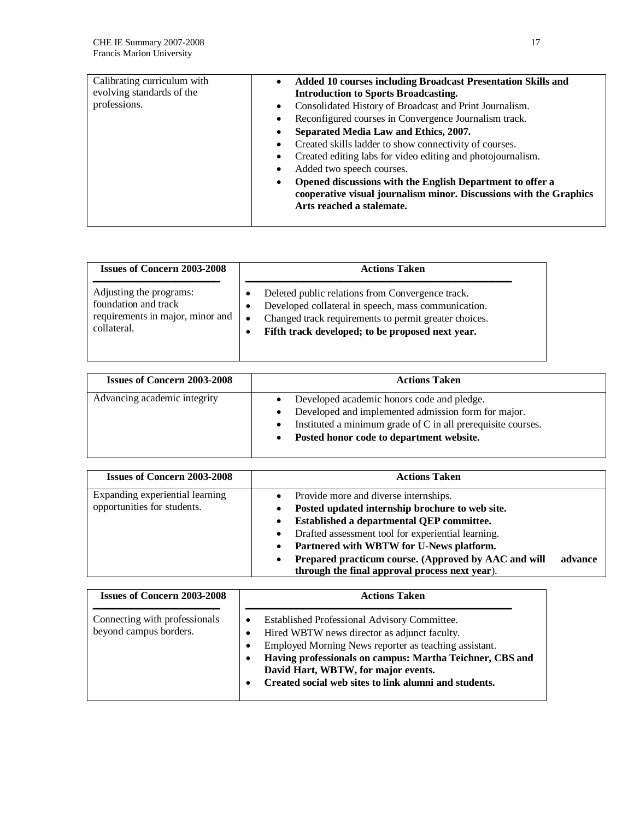| Added 10 courses including Broadcast Presentation Skills and<br>$\bullet$<br><b>Introduction to Sports Broadcasting.</b>                                          |
|-------------------------------------------------------------------------------------------------------------------------------------------------------------------|
| Consolidated History of Broadcast and Print Journalism.<br>$\bullet$                                                                                              |
| Reconfigured courses in Convergence Journalism track.<br>٠                                                                                                        |
| Separated Media Law and Ethics, 2007.<br>٠                                                                                                                        |
| Created skills ladder to show connectivity of courses.<br>$\bullet$                                                                                               |
| Created editing labs for video editing and photojournalism.<br>$\bullet$                                                                                          |
| Added two speech courses.<br>٠                                                                                                                                    |
| Opened discussions with the English Department to offer a<br>٠<br>cooperative visual journalism minor. Discussions with the Graphics<br>Arts reached a stalemate. |
|                                                                                                                                                                   |

| <b>Issues of Concern 2003-2008</b>                                                                 | <b>Actions Taken</b>                                                                                                                                                                                                                                     |
|----------------------------------------------------------------------------------------------------|----------------------------------------------------------------------------------------------------------------------------------------------------------------------------------------------------------------------------------------------------------|
| Adjusting the programs:<br>foundation and track<br>requirements in major, minor and<br>collateral. | Deleted public relations from Convergence track.<br>٠<br>Developed collateral in speech, mass communication.<br>٠<br>Changed track requirements to permit greater choices.<br>$\bullet$<br>Fifth track developed; to be proposed next year.<br>$\bullet$ |

| <b>Issues of Concern 2003-2008</b> | <b>Actions Taken</b>                                                                                                                                                                                                                                              |
|------------------------------------|-------------------------------------------------------------------------------------------------------------------------------------------------------------------------------------------------------------------------------------------------------------------|
| Advancing academic integrity       | Developed academic honors code and pledge.<br>$\bullet$<br>Developed and implemented admission form for major.<br>$\bullet$<br>Instituted a minimum grade of C in all prerequisite courses.<br>$\bullet$<br>Posted honor code to department website.<br>$\bullet$ |

| <b>Issues of Concern 2003-2008</b>                             | <b>Actions Taken</b>                                                                                                                                                                                                                                                                                                                                           |         |
|----------------------------------------------------------------|----------------------------------------------------------------------------------------------------------------------------------------------------------------------------------------------------------------------------------------------------------------------------------------------------------------------------------------------------------------|---------|
| Expanding experiential learning<br>opportunities for students. | Provide more and diverse internships.<br>Posted updated internship brochure to web site.<br>Established a departmental QEP committee.<br>Drafted assessment tool for experiential learning.<br>Partnered with WBTW for U-News platform.<br>Prepared practicum course. (Approved by AAC and will<br>$\bullet$<br>through the final approval process next year). | advance |

| <b>Issues of Concern 2003-2008</b>                      | <b>Actions Taken</b>                                                                                                                                                                                                                                                                                                   |
|---------------------------------------------------------|------------------------------------------------------------------------------------------------------------------------------------------------------------------------------------------------------------------------------------------------------------------------------------------------------------------------|
| Connecting with professionals<br>beyond campus borders. | Established Professional Advisory Committee.<br>٠<br>Hired WBTW news director as adjunct faculty.<br>Employed Morning News reporter as teaching assistant.<br>Having professionals on campus: Martha Teichner, CBS and<br>David Hart, WBTW, for major events.<br>Created social web sites to link alumni and students. |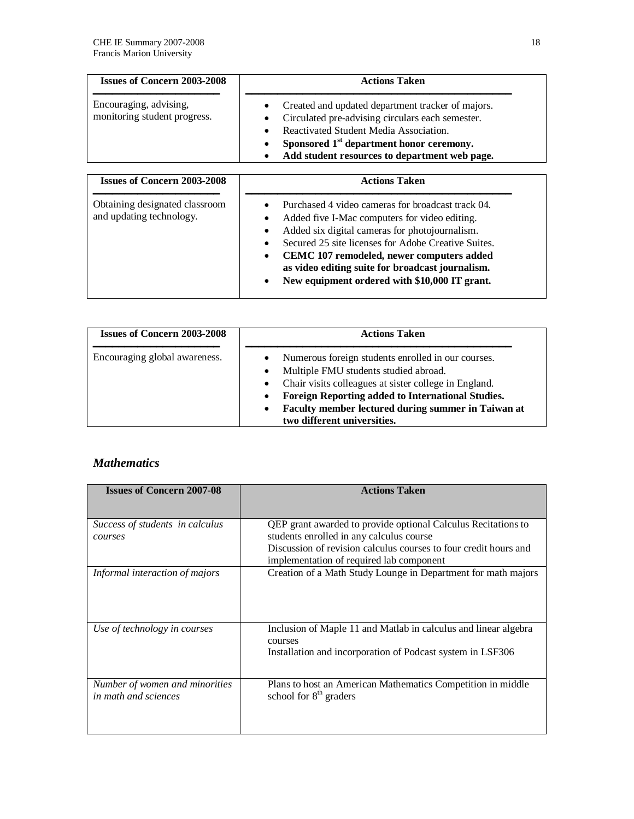| <b>Issues of Concern 2003-2008</b>                         | <b>Actions Taken</b>                                                                                                                                                                                                                                     |  |
|------------------------------------------------------------|----------------------------------------------------------------------------------------------------------------------------------------------------------------------------------------------------------------------------------------------------------|--|
| Encouraging, advising,<br>monitoring student progress.     | Created and updated department tracker of majors.<br>Circulated pre-advising circulars each semester.<br>Reactivated Student Media Association.<br>Sponsored 1 <sup>st</sup> department honor ceremony.<br>Add student resources to department web page. |  |
| <b>Issues of Concern 2003-2008</b>                         | <b>Actions Taken</b>                                                                                                                                                                                                                                     |  |
| Obtaining designated classroom<br>and updating technology. | Purchased 4 video cameras for broadcast track 04.<br>Added five I-Mac computers for video editing.                                                                                                                                                       |  |

|  | Added six digital cameras for photojournalism. |
|--|------------------------------------------------|

- Secured 25 site licenses for Adobe Creative Suites.
- **CEMC 107 remodeled, newer computers added**
- **as video editing suite for broadcast journalism.**
- **New equipment ordered with \$10,000 IT grant.**

| <b>Issues of Concern 2003-2008</b> | <b>Actions Taken</b>                                                                                                                                                                                                                                                                             |
|------------------------------------|--------------------------------------------------------------------------------------------------------------------------------------------------------------------------------------------------------------------------------------------------------------------------------------------------|
| Encouraging global awareness.      | Numerous foreign students enrolled in our courses.<br>Multiple FMU students studied abroad.<br>• Chair visits colleagues at sister college in England.<br>Foreign Reporting added to International Studies.<br>Faculty member lectured during summer in Taiwan at<br>two different universities. |

# *Mathematics*

| <b>Issues of Concern 2007-08</b>                       | <b>Actions Taken</b>                                                                                                                                                          |
|--------------------------------------------------------|-------------------------------------------------------------------------------------------------------------------------------------------------------------------------------|
| Success of students in calculus<br>courses             | QEP grant awarded to provide optional Calculus Recitations to<br>students enrolled in any calculus course<br>Discussion of revision calculus courses to four credit hours and |
| Informal interaction of majors                         | implementation of required lab component<br>Creation of a Math Study Lounge in Department for math majors                                                                     |
| Use of technology in courses                           | Inclusion of Maple 11 and Matlab in calculus and linear algebra<br>courses<br>Installation and incorporation of Podcast system in LSF306                                      |
| Number of women and minorities<br>in math and sciences | Plans to host an American Mathematics Competition in middle<br>school for 8 <sup>th</sup> graders                                                                             |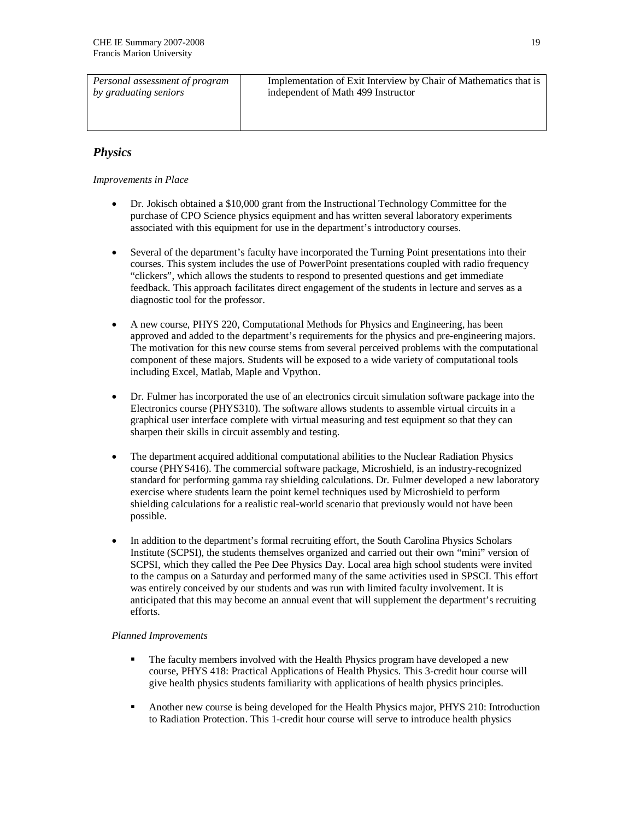| Personal assessment of program | Implementation of Exit Interview by Chair of Mathematics that is |
|--------------------------------|------------------------------------------------------------------|
| by graduating seniors          | independent of Math 499 Instructor                               |
|                                |                                                                  |
|                                |                                                                  |
|                                |                                                                  |

## *Physics*

*Improvements in Place*

- Dr. Jokisch obtained a \$10,000 grant from the Instructional Technology Committee for the purchase of CPO Science physics equipment and has written several laboratory experiments associated with this equipment for use in the department's introductory courses.
- Several of the department's faculty have incorporated the Turning Point presentations into their courses. This system includes the use of PowerPoint presentations coupled with radio frequency "clickers", which allows the students to respond to presented questions and get immediate feedback. This approach facilitates direct engagement of the students in lecture and serves as a diagnostic tool for the professor.
- A new course, PHYS 220, Computational Methods for Physics and Engineering, has been approved and added to the department's requirements for the physics and pre-engineering majors. The motivation for this new course stems from several perceived problems with the computational component of these majors. Students will be exposed to a wide variety of computational tools including Excel, Matlab, Maple and Vpython.
- Dr. Fulmer has incorporated the use of an electronics circuit simulation software package into the Electronics course (PHYS310). The software allows students to assemble virtual circuits in a graphical user interface complete with virtual measuring and test equipment so that they can sharpen their skills in circuit assembly and testing.
- The department acquired additional computational abilities to the Nuclear Radiation Physics course (PHYS416). The commercial software package, Microshield, is an industry-recognized standard for performing gamma ray shielding calculations. Dr. Fulmer developed a new laboratory exercise where students learn the point kernel techniques used by Microshield to perform shielding calculations for a realistic real-world scenario that previously would not have been possible.
- In addition to the department's formal recruiting effort, the South Carolina Physics Scholars Institute (SCPSI), the students themselves organized and carried out their own "mini" version of SCPSI, which they called the Pee Dee Physics Day. Local area high school students were invited to the campus on a Saturday and performed many of the same activities used in SPSCI. This effort was entirely conceived by our students and was run with limited faculty involvement. It is anticipated that this may become an annual event that will supplement the department's recruiting efforts.

#### *Planned Improvements*

- The faculty members involved with the Health Physics program have developed a new course, PHYS 418: Practical Applications of Health Physics. This 3-credit hour course will give health physics students familiarity with applications of health physics principles.
- Another new course is being developed for the Health Physics major, PHYS 210: Introduction to Radiation Protection. This 1-credit hour course will serve to introduce health physics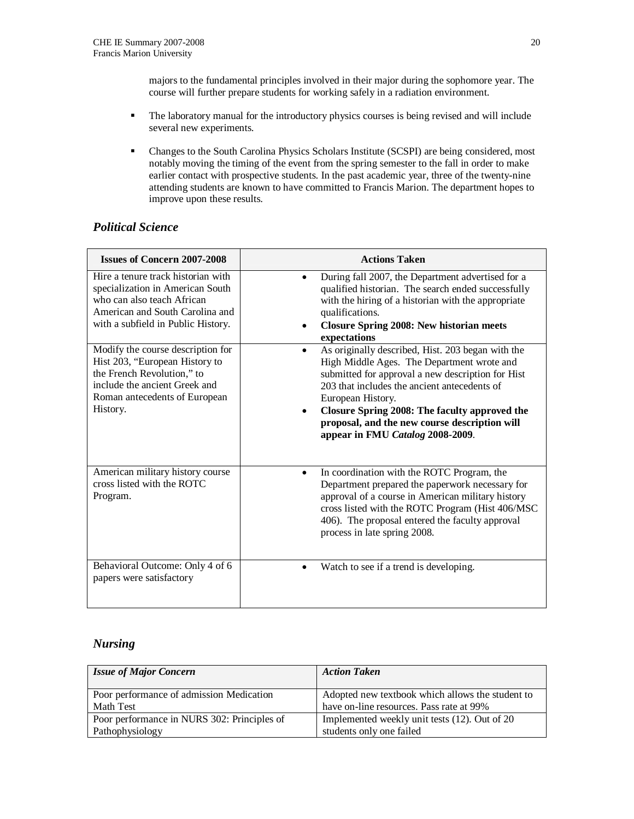majors to the fundamental principles involved in their major during the sophomore year. The course will further prepare students for working safely in a radiation environment.

- The laboratory manual for the introductory physics courses is being revised and will include several new experiments.
- Changes to the South Carolina Physics Scholars Institute (SCSPI) are being considered, most notably moving the timing of the event from the spring semester to the fall in order to make earlier contact with prospective students. In the past academic year, three of the twenty-nine attending students are known to have committed to Francis Marion. The department hopes to improve upon these results.

## *Political Science*

| <b>Issues of Concern 2007-2008</b>                                                                                                                                              | <b>Actions Taken</b>                                                                                                                                                                                                                                                                                                                                                         |
|---------------------------------------------------------------------------------------------------------------------------------------------------------------------------------|------------------------------------------------------------------------------------------------------------------------------------------------------------------------------------------------------------------------------------------------------------------------------------------------------------------------------------------------------------------------------|
| Hire a tenure track historian with<br>specialization in American South<br>who can also teach African<br>American and South Carolina and<br>with a subfield in Public History.   | During fall 2007, the Department advertised for a<br>qualified historian. The search ended successfully<br>with the hiring of a historian with the appropriate<br>qualifications.<br><b>Closure Spring 2008: New historian meets</b><br>expectations                                                                                                                         |
| Modify the course description for<br>Hist 203, "European History to<br>the French Revolution," to<br>include the ancient Greek and<br>Roman antecedents of European<br>History. | As originally described, Hist. 203 began with the<br>$\bullet$<br>High Middle Ages. The Department wrote and<br>submitted for approval a new description for Hist<br>203 that includes the ancient antecedents of<br>European History.<br>Closure Spring 2008: The faculty approved the<br>proposal, and the new course description will<br>appear in FMU Catalog 2008-2009. |
| American military history course<br>cross listed with the ROTC<br>Program.                                                                                                      | In coordination with the ROTC Program, the<br>$\bullet$<br>Department prepared the paperwork necessary for<br>approval of a course in American military history<br>cross listed with the ROTC Program (Hist 406/MSC<br>406). The proposal entered the faculty approval<br>process in late spring 2008.                                                                       |
| Behavioral Outcome: Only 4 of 6<br>papers were satisfactory                                                                                                                     | Watch to see if a trend is developing.<br>$\bullet$                                                                                                                                                                                                                                                                                                                          |

### *Nursing*

| <b>Issue of Major Concern</b>               | <b>Action Taken</b>                              |
|---------------------------------------------|--------------------------------------------------|
| Poor performance of admission Medication    | Adopted new textbook which allows the student to |
| Math Test                                   | have on-line resources. Pass rate at 99%         |
| Poor performance in NURS 302: Principles of | Implemented weekly unit tests (12). Out of 20    |
| Pathophysiology                             | students only one failed                         |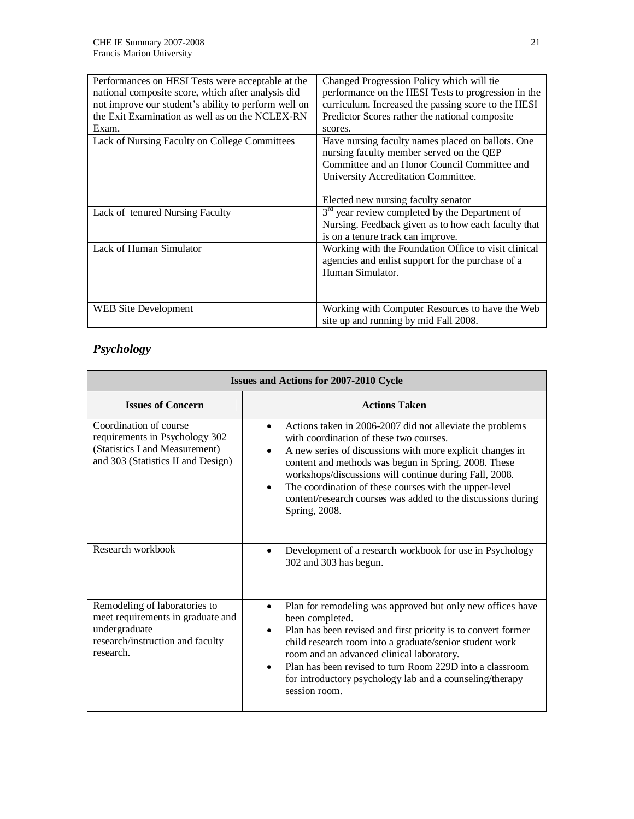| Performances on HESI Tests were acceptable at the<br>national composite score, which after analysis did<br>not improve our student's ability to perform well on<br>the Exit Examination as well as on the NCLEX-RN<br>Exam. | Changed Progression Policy which will tie<br>performance on the HESI Tests to progression in the<br>curriculum. Increased the passing score to the HESI<br>Predictor Scores rather the national composite<br>scores.        |
|-----------------------------------------------------------------------------------------------------------------------------------------------------------------------------------------------------------------------------|-----------------------------------------------------------------------------------------------------------------------------------------------------------------------------------------------------------------------------|
| Lack of Nursing Faculty on College Committees                                                                                                                                                                               | Have nursing faculty names placed on ballots. One<br>nursing faculty member served on the QEP<br>Committee and an Honor Council Committee and<br>University Accreditation Committee.<br>Elected new nursing faculty senator |
| Lack of tenured Nursing Faculty                                                                                                                                                                                             | $3rd$ year review completed by the Department of<br>Nursing. Feedback given as to how each faculty that<br>is on a tenure track can improve.                                                                                |
| Lack of Human Simulator                                                                                                                                                                                                     | Working with the Foundation Office to visit clinical<br>agencies and enlist support for the purchase of a<br>Human Simulator.                                                                                               |
| WEB Site Development                                                                                                                                                                                                        | Working with Computer Resources to have the Web<br>site up and running by mid Fall 2008.                                                                                                                                    |

# *Psychology*

| <b>Issues and Actions for 2007-2010 Cycle</b>                                                                                        |                                                                                                                                                                                                                                                                                                                                                                                                                                             |
|--------------------------------------------------------------------------------------------------------------------------------------|---------------------------------------------------------------------------------------------------------------------------------------------------------------------------------------------------------------------------------------------------------------------------------------------------------------------------------------------------------------------------------------------------------------------------------------------|
| <b>Issues of Concern</b>                                                                                                             | <b>Actions Taken</b>                                                                                                                                                                                                                                                                                                                                                                                                                        |
| Coordination of course<br>requirements in Psychology 302<br>(Statistics I and Measurement)<br>and 303 (Statistics II and Design)     | Actions taken in 2006-2007 did not alleviate the problems<br>with coordination of these two courses.<br>A new series of discussions with more explicit changes in<br>content and methods was begun in Spring, 2008. These<br>workshops/discussions will continue during Fall, 2008.<br>The coordination of these courses with the upper-level<br>$\bullet$<br>content/research courses was added to the discussions during<br>Spring, 2008. |
| Research workbook                                                                                                                    | Development of a research workbook for use in Psychology<br>302 and 303 has begun.                                                                                                                                                                                                                                                                                                                                                          |
| Remodeling of laboratories to<br>meet requirements in graduate and<br>undergraduate<br>research/instruction and faculty<br>research. | Plan for remodeling was approved but only new offices have<br>been completed.<br>Plan has been revised and first priority is to convert former<br>child research room into a graduate/senior student work<br>room and an advanced clinical laboratory.<br>Plan has been revised to turn Room 229D into a classroom<br>$\bullet$<br>for introductory psychology lab and a counseling/therapy<br>session room.                                |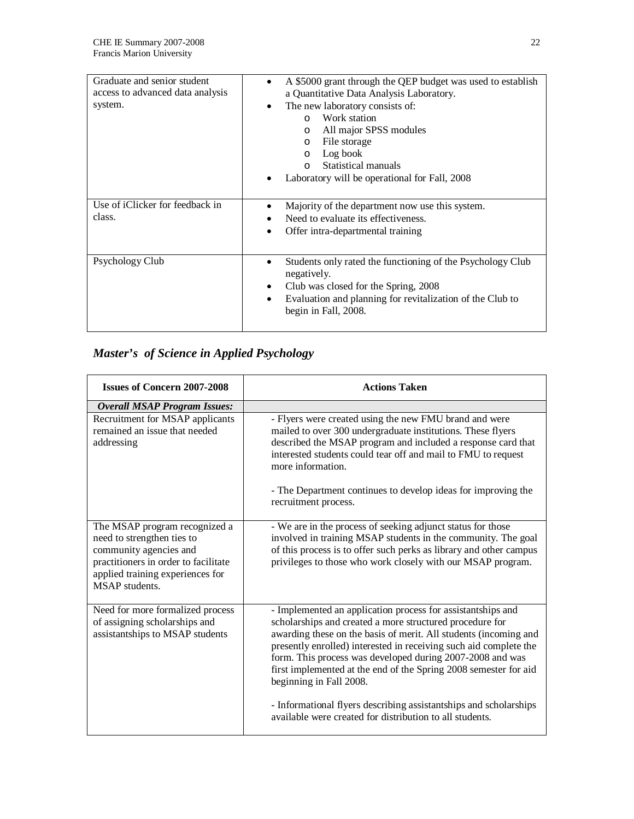| Graduate and senior student<br>access to advanced data analysis<br>system. | A \$5000 grant through the QEP budget was used to establish<br>a Quantitative Data Analysis Laboratory.<br>The new laboratory consists of:<br>$\bullet$<br>Work station<br>$\Omega$<br>All major SPSS modules<br>$\circ$<br>File storage<br>$\circ$<br>Log book<br>$\circ$<br>Statistical manuals |
|----------------------------------------------------------------------------|---------------------------------------------------------------------------------------------------------------------------------------------------------------------------------------------------------------------------------------------------------------------------------------------------|
|                                                                            | $\Omega$<br>Laboratory will be operational for Fall, 2008                                                                                                                                                                                                                                         |
| Use of iClicker for feedback in<br>class.                                  | Majority of the department now use this system.<br>٠<br>Need to evaluate its effectiveness.<br>Offer intra-departmental training                                                                                                                                                                  |
| Psychology Club                                                            | Students only rated the functioning of the Psychology Club<br>negatively.<br>Club was closed for the Spring, 2008<br>٠<br>Evaluation and planning for revitalization of the Club to<br>begin in Fall, 2008.                                                                                       |

# *Master's of Science in Applied Psychology*

| <b>Issues of Concern 2007-2008</b>                                                                                                                                                         | <b>Actions Taken</b>                                                                                                                                                                                                                                                                                                                                                                                                                                                                              |
|--------------------------------------------------------------------------------------------------------------------------------------------------------------------------------------------|---------------------------------------------------------------------------------------------------------------------------------------------------------------------------------------------------------------------------------------------------------------------------------------------------------------------------------------------------------------------------------------------------------------------------------------------------------------------------------------------------|
| <b>Overall MSAP Program Issues:</b>                                                                                                                                                        |                                                                                                                                                                                                                                                                                                                                                                                                                                                                                                   |
| Recruitment for MSAP applicants<br>remained an issue that needed<br>addressing                                                                                                             | - Flyers were created using the new FMU brand and were<br>mailed to over 300 undergraduate institutions. These flyers<br>described the MSAP program and included a response card that<br>interested students could tear off and mail to FMU to request<br>more information.<br>- The Department continues to develop ideas for improving the<br>recruitment process.                                                                                                                              |
| The MSAP program recognized a<br>need to strengthen ties to<br>community agencies and<br>practitioners in order to facilitate<br>applied training experiences for<br><b>MSAP</b> students. | - We are in the process of seeking adjunct status for those<br>involved in training MSAP students in the community. The goal<br>of this process is to offer such perks as library and other campus<br>privileges to those who work closely with our MSAP program.                                                                                                                                                                                                                                 |
| Need for more formalized process<br>of assigning scholarships and<br>assistantships to MSAP students                                                                                       | - Implemented an application process for assistantships and<br>scholarships and created a more structured procedure for<br>awarding these on the basis of merit. All students (incoming and<br>presently enrolled) interested in receiving such aid complete the<br>form. This process was developed during 2007-2008 and was<br>first implemented at the end of the Spring 2008 semester for aid<br>beginning in Fall 2008.<br>- Informational flyers describing assistantships and scholarships |
|                                                                                                                                                                                            | available were created for distribution to all students.                                                                                                                                                                                                                                                                                                                                                                                                                                          |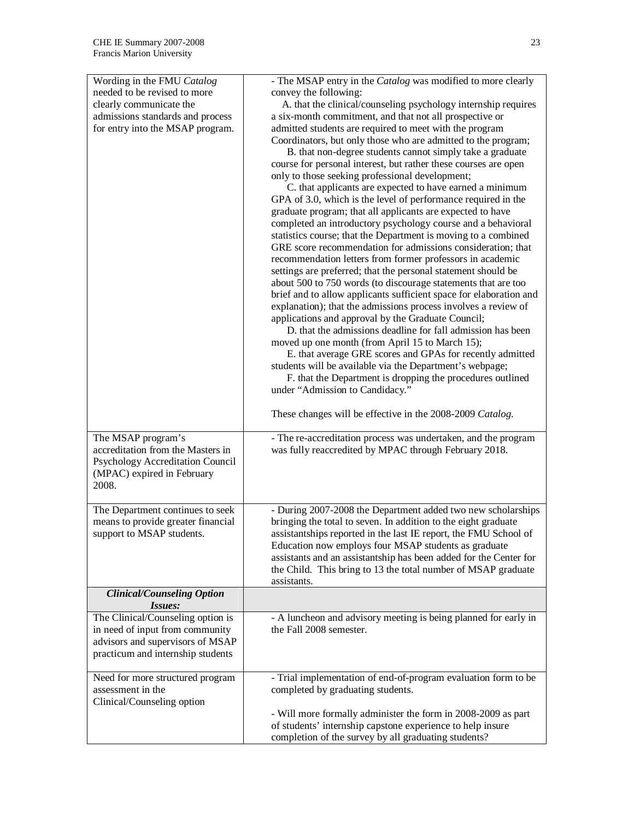| Wording in the FMU Catalog         | - The MSAP entry in the Catalog was modified to more clearly                                                                   |
|------------------------------------|--------------------------------------------------------------------------------------------------------------------------------|
| needed to be revised to more       | convey the following:                                                                                                          |
| clearly communicate the            | A. that the clinical/counseling psychology internship requires                                                                 |
| admissions standards and process   | a six-month commitment, and that not all prospective or                                                                        |
| for entry into the MSAP program.   | admitted students are required to meet with the program                                                                        |
|                                    | Coordinators, but only those who are admitted to the program;                                                                  |
|                                    | B. that non-degree students cannot simply take a graduate                                                                      |
|                                    | course for personal interest, but rather these courses are open                                                                |
|                                    | only to those seeking professional development;                                                                                |
|                                    | C. that applicants are expected to have earned a minimum                                                                       |
|                                    | GPA of 3.0, which is the level of performance required in the                                                                  |
|                                    | graduate program; that all applicants are expected to have                                                                     |
|                                    | completed an introductory psychology course and a behavioral<br>statistics course; that the Department is moving to a combined |
|                                    | GRE score recommendation for admissions consideration; that                                                                    |
|                                    | recommendation letters from former professors in academic                                                                      |
|                                    | settings are preferred; that the personal statement should be                                                                  |
|                                    | about 500 to 750 words (to discourage statements that are too                                                                  |
|                                    | brief and to allow applicants sufficient space for elaboration and                                                             |
|                                    | explanation); that the admissions process involves a review of                                                                 |
|                                    | applications and approval by the Graduate Council;                                                                             |
|                                    | D. that the admissions deadline for fall admission has been                                                                    |
|                                    | moved up one month (from April 15 to March 15);                                                                                |
|                                    | E. that average GRE scores and GPAs for recently admitted                                                                      |
|                                    | students will be available via the Department's webpage;                                                                       |
|                                    | F. that the Department is dropping the procedures outlined                                                                     |
|                                    | under "Admission to Candidacy."                                                                                                |
|                                    | These changes will be effective in the 2008-2009 Catalog.                                                                      |
|                                    |                                                                                                                                |
| The MSAP program's                 | - The re-accreditation process was undertaken, and the program                                                                 |
| accreditation from the Masters in  | was fully reaccredited by MPAC through February 2018.                                                                          |
| Psychology Accreditation Council   |                                                                                                                                |
| (MPAC) expired in February         |                                                                                                                                |
| 2008.                              |                                                                                                                                |
| The Department continues to seek   | - During 2007-2008 the Department added two new scholarships                                                                   |
| means to provide greater financial | bringing the total to seven. In addition to the eight graduate                                                                 |
| support to MSAP students.          | assistantships reported in the last IE report, the FMU School of                                                               |
|                                    | Education now employs four MSAP students as graduate                                                                           |
|                                    | assistants and an assistantship has been added for the Center for                                                              |
|                                    | the Child. This bring to 13 the total number of MSAP graduate<br>assistants.                                                   |
| <b>Clinical/Counseling Option</b>  |                                                                                                                                |
| Issues:                            |                                                                                                                                |
| The Clinical/Counseling option is  | - A luncheon and advisory meeting is being planned for early in                                                                |
| in need of input from community    | the Fall 2008 semester.                                                                                                        |
| advisors and supervisors of MSAP   |                                                                                                                                |
| practicum and internship students  |                                                                                                                                |
| Need for more structured program   | - Trial implementation of end-of-program evaluation form to be                                                                 |
| assessment in the                  | completed by graduating students.                                                                                              |
| Clinical/Counseling option         |                                                                                                                                |
|                                    | - Will more formally administer the form in 2008-2009 as part                                                                  |
|                                    | of students' internship capstone experience to help insure                                                                     |
|                                    | completion of the survey by all graduating students?                                                                           |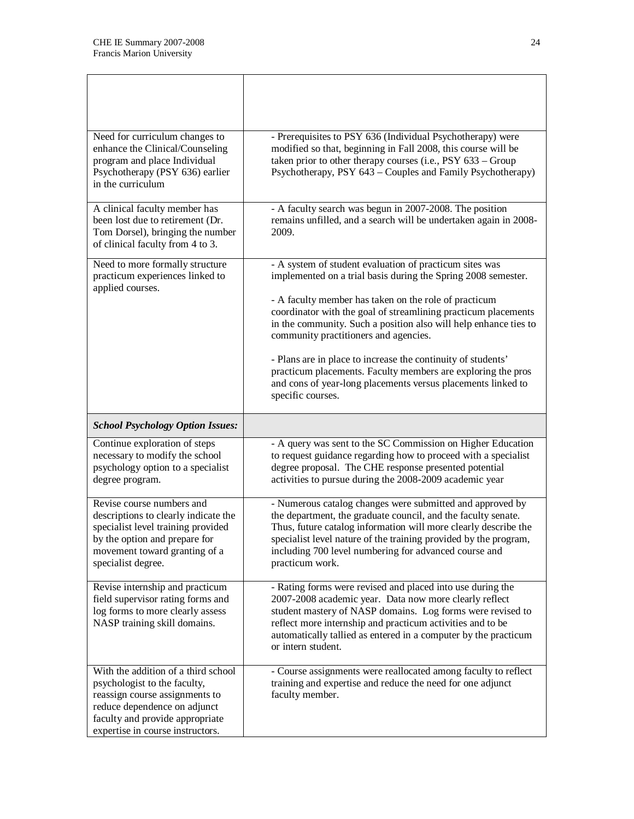| Need for curriculum changes to<br>enhance the Clinical/Counseling<br>program and place Individual<br>Psychotherapy (PSY 636) earlier<br>in the curriculum                                       | - Prerequisites to PSY 636 (Individual Psychotherapy) were<br>modified so that, beginning in Fall 2008, this course will be<br>taken prior to other therapy courses (i.e., PSY 633 - Group<br>Psychotherapy, PSY 643 – Couples and Family Psychotherapy)                                                                                                                                                                                                                                                                                                                              |
|-------------------------------------------------------------------------------------------------------------------------------------------------------------------------------------------------|---------------------------------------------------------------------------------------------------------------------------------------------------------------------------------------------------------------------------------------------------------------------------------------------------------------------------------------------------------------------------------------------------------------------------------------------------------------------------------------------------------------------------------------------------------------------------------------|
| A clinical faculty member has<br>been lost due to retirement (Dr.<br>Tom Dorsel), bringing the number<br>of clinical faculty from 4 to 3.                                                       | - A faculty search was begun in 2007-2008. The position<br>remains unfilled, and a search will be undertaken again in 2008-<br>2009.                                                                                                                                                                                                                                                                                                                                                                                                                                                  |
| Need to more formally structure<br>practicum experiences linked to<br>applied courses.                                                                                                          | - A system of student evaluation of practicum sites was<br>implemented on a trial basis during the Spring 2008 semester.<br>- A faculty member has taken on the role of practicum<br>coordinator with the goal of streamlining practicum placements<br>in the community. Such a position also will help enhance ties to<br>community practitioners and agencies.<br>- Plans are in place to increase the continuity of students'<br>practicum placements. Faculty members are exploring the pros<br>and cons of year-long placements versus placements linked to<br>specific courses. |
| <b>School Psychology Option Issues:</b>                                                                                                                                                         |                                                                                                                                                                                                                                                                                                                                                                                                                                                                                                                                                                                       |
| Continue exploration of steps<br>necessary to modify the school<br>psychology option to a specialist<br>degree program.                                                                         | - A query was sent to the SC Commission on Higher Education<br>to request guidance regarding how to proceed with a specialist<br>degree proposal. The CHE response presented potential<br>activities to pursue during the 2008-2009 academic year                                                                                                                                                                                                                                                                                                                                     |
| Revise course numbers and<br>descriptions to clearly indicate the<br>specialist level training provided<br>by the option and prepare for<br>movement toward granting of a<br>specialist degree. | - Numerous catalog changes were submitted and approved by<br>the department, the graduate council, and the faculty senate.<br>Thus, future catalog information will more clearly describe the<br>specialist level nature of the training provided by the program,<br>including 700 level numbering for advanced course and<br>practicum work.                                                                                                                                                                                                                                         |
| Revise internship and practicum<br>field supervisor rating forms and<br>log forms to more clearly assess<br>NASP training skill domains.                                                        | - Rating forms were revised and placed into use during the<br>2007-2008 academic year. Data now more clearly reflect<br>student mastery of NASP domains. Log forms were revised to<br>reflect more internship and practicum activities and to be<br>automatically tallied as entered in a computer by the practicum                                                                                                                                                                                                                                                                   |
|                                                                                                                                                                                                 | or intern student.                                                                                                                                                                                                                                                                                                                                                                                                                                                                                                                                                                    |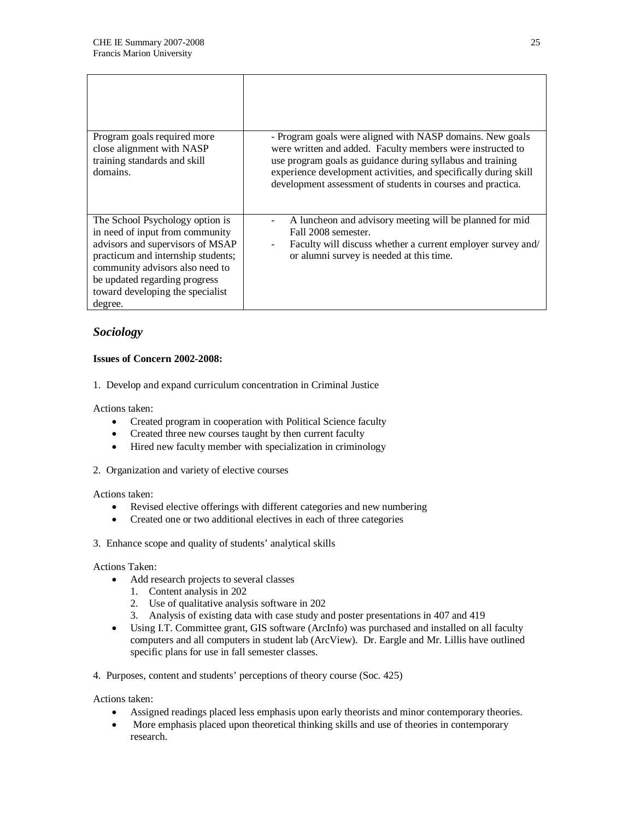| Program goals required more<br>close alignment with NASP<br>training standards and skill<br>domains.                                                                                                                                                            | - Program goals were aligned with NASP domains. New goals<br>were written and added. Faculty members were instructed to<br>use program goals as guidance during syllabus and training<br>experience development activities, and specifically during skill<br>development assessment of students in courses and practica. |
|-----------------------------------------------------------------------------------------------------------------------------------------------------------------------------------------------------------------------------------------------------------------|--------------------------------------------------------------------------------------------------------------------------------------------------------------------------------------------------------------------------------------------------------------------------------------------------------------------------|
| The School Psychology option is<br>in need of input from community<br>advisors and supervisors of MSAP<br>practicum and internship students;<br>community advisors also need to<br>be updated regarding progress<br>toward developing the specialist<br>degree. | A luncheon and advisory meeting will be planned for mid<br>Fall 2008 semester.<br>Faculty will discuss whether a current employer survey and/<br>or alumni survey is needed at this time.                                                                                                                                |

### *Sociology*

### **Issues of Concern 2002-2008:**

1. Develop and expand curriculum concentration in Criminal Justice

Actions taken:

- Created program in cooperation with Political Science faculty
- Created three new courses taught by then current faculty
- Hired new faculty member with specialization in criminology
- 2. Organization and variety of elective courses

Actions taken:

- Revised elective offerings with different categories and new numbering
- Created one or two additional electives in each of three categories

3. Enhance scope and quality of students' analytical skills

Actions Taken:

- Add research projects to several classes
	- 1. Content analysis in 202
	- 2. Use of qualitative analysis software in 202
	- 3. Analysis of existing data with case study and poster presentations in 407 and 419
- Using I.T. Committee grant, GIS software (ArcInfo) was purchased and installed on all faculty computers and all computers in student lab (ArcView). Dr. Eargle and Mr. Lillis have outlined specific plans for use in fall semester classes.
- 4. Purposes, content and students' perceptions of theory course (Soc. 425)

Actions taken:

- Assigned readings placed less emphasis upon early theorists and minor contemporary theories.
- More emphasis placed upon theoretical thinking skills and use of theories in contemporary research.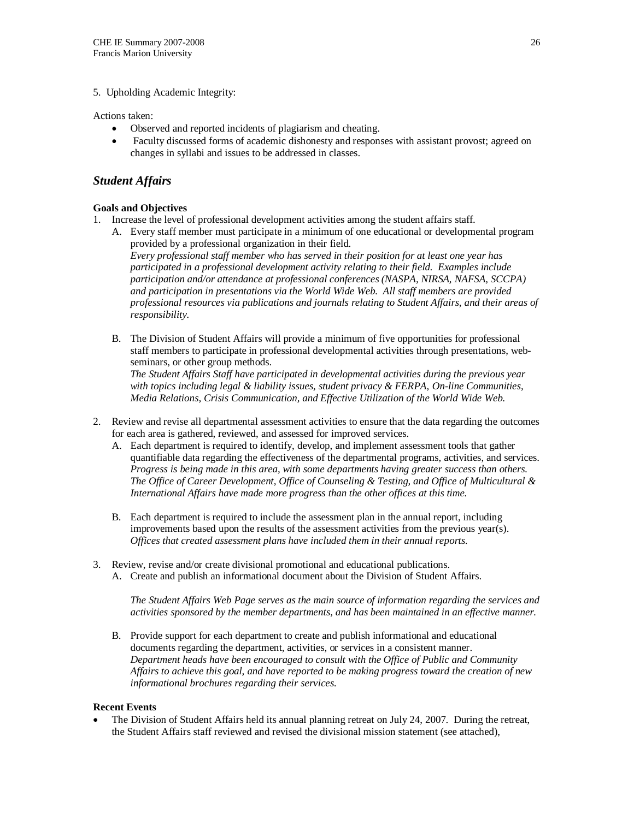#### 5. Upholding Academic Integrity:

Actions taken:

- Observed and reported incidents of plagiarism and cheating.
- Faculty discussed forms of academic dishonesty and responses with assistant provost; agreed on changes in syllabi and issues to be addressed in classes.

### *Student Affairs*

### **Goals and Objectives**

- 1. Increase the level of professional development activities among the student affairs staff.
	- A. Every staff member must participate in a minimum of one educational or developmental program provided by a professional organization in their field. *Every professional staff member who has served in their position for at least one year has*

*participated in a professional development activity relating to their field. Examples include participation and/or attendance at professional conferences (NASPA, NIRSA, NAFSA, SCCPA) and participation in presentations via the World Wide Web. All staff members are provided professional resources via publications and journals relating to Student Affairs, and their areas of responsibility.* 

B. The Division of Student Affairs will provide a minimum of five opportunities for professional staff members to participate in professional developmental activities through presentations, webseminars, or other group methods.

*The Student Affairs Staff have participated in developmental activities during the previous year with topics including legal & liability issues, student privacy & FERPA, On-line Communities, Media Relations, Crisis Communication, and Effective Utilization of the World Wide Web.* 

- 2. Review and revise all departmental assessment activities to ensure that the data regarding the outcomes for each area is gathered, reviewed, and assessed for improved services.
	- A. Each department is required to identify, develop, and implement assessment tools that gather quantifiable data regarding the effectiveness of the departmental programs, activities, and services. *Progress is being made in this area, with some departments having greater success than others. The Office of Career Development, Office of Counseling & Testing, and Office of Multicultural & International Affairs have made more progress than the other offices at this time.*
	- B. Each department is required to include the assessment plan in the annual report, including improvements based upon the results of the assessment activities from the previous year(s). *Offices that created assessment plans have included them in their annual reports.*
- 3. Review, revise and/or create divisional promotional and educational publications. A. Create and publish an informational document about the Division of Student Affairs.

*The Student Affairs Web Page serves as the main source of information regarding the services and activities sponsored by the member departments, and has been maintained in an effective manner.* 

B. Provide support for each department to create and publish informational and educational documents regarding the department, activities, or services in a consistent manner. *Department heads have been encouraged to consult with the Office of Public and Community Affairs to achieve this goal, and have reported to be making progress toward the creation of new informational brochures regarding their services.* 

#### **Recent Events**

The Division of Student Affairs held its annual planning retreat on July 24, 2007. During the retreat, the Student Affairs staff reviewed and revised the divisional mission statement (see attached),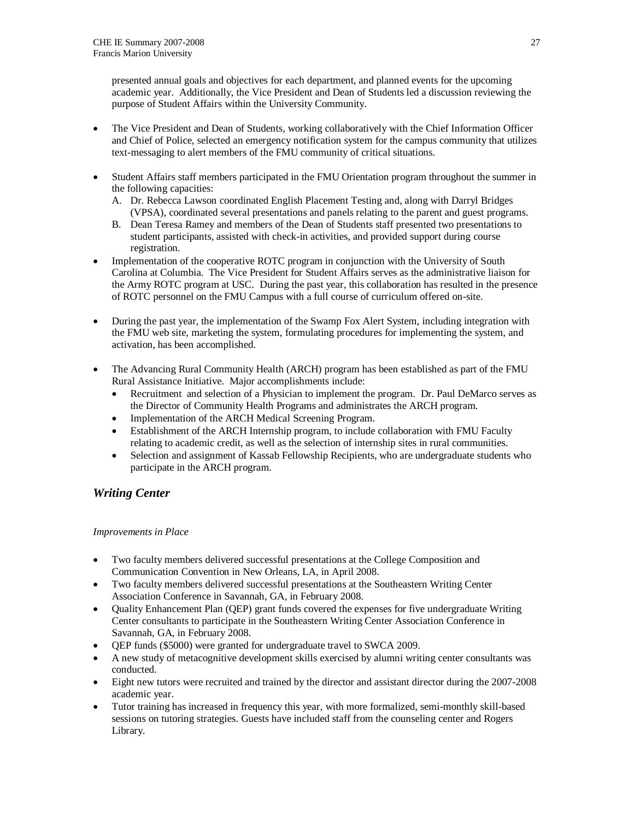presented annual goals and objectives for each department, and planned events for the upcoming academic year. Additionally, the Vice President and Dean of Students led a discussion reviewing the purpose of Student Affairs within the University Community.

- The Vice President and Dean of Students, working collaboratively with the Chief Information Officer and Chief of Police, selected an emergency notification system for the campus community that utilizes text-messaging to alert members of the FMU community of critical situations.
- Student Affairs staff members participated in the FMU Orientation program throughout the summer in the following capacities:
	- A. Dr. Rebecca Lawson coordinated English Placement Testing and, along with Darryl Bridges (VPSA), coordinated several presentations and panels relating to the parent and guest programs.
	- B. Dean Teresa Ramey and members of the Dean of Students staff presented two presentations to student participants, assisted with check-in activities, and provided support during course registration.
- Implementation of the cooperative ROTC program in conjunction with the University of South Carolina at Columbia. The Vice President for Student Affairs serves as the administrative liaison for the Army ROTC program at USC. During the past year, this collaboration has resulted in the presence of ROTC personnel on the FMU Campus with a full course of curriculum offered on-site.
- During the past year, the implementation of the Swamp Fox Alert System, including integration with the FMU web site, marketing the system, formulating procedures for implementing the system, and activation, has been accomplished.
- The Advancing Rural Community Health (ARCH) program has been established as part of the FMU Rural Assistance Initiative. Major accomplishments include:
	- Recruitment and selection of a Physician to implement the program. Dr. Paul DeMarco serves as the Director of Community Health Programs and administrates the ARCH program.
	- Implementation of the ARCH Medical Screening Program.
	- Establishment of the ARCH Internship program, to include collaboration with FMU Faculty relating to academic credit, as well as the selection of internship sites in rural communities.
	- Selection and assignment of Kassab Fellowship Recipients, who are undergraduate students who participate in the ARCH program.

### *Writing Center*

### *Improvements in Place*

- Two faculty members delivered successful presentations at the College Composition and Communication Convention in New Orleans, LA, in April 2008.
- Two faculty members delivered successful presentations at the Southeastern Writing Center Association Conference in Savannah, GA, in February 2008.
- Quality Enhancement Plan (QEP) grant funds covered the expenses for five undergraduate Writing Center consultants to participate in the Southeastern Writing Center Association Conference in Savannah, GA, in February 2008.
- OEP funds (\$5000) were granted for undergraduate travel to SWCA 2009.
- A new study of metacognitive development skills exercised by alumni writing center consultants was conducted.
- Eight new tutors were recruited and trained by the director and assistant director during the 2007-2008 academic year.
- Tutor training has increased in frequency this year, with more formalized, semi-monthly skill-based sessions on tutoring strategies. Guests have included staff from the counseling center and Rogers Library.